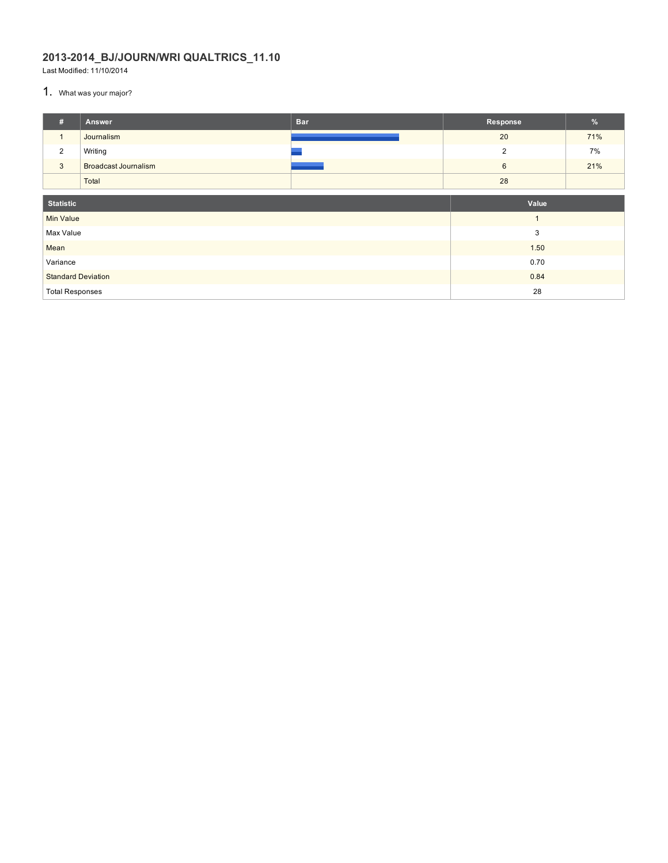## **2013-2014\_BJ/JOURN/WRI QUALTRICS\_11.10**

Last Modified: 11/10/2014

1. What was your major?

| #                         | Answer                      | <b>Bar</b> | Response | $\frac{9}{6}$ |  |
|---------------------------|-----------------------------|------------|----------|---------------|--|
| $\mathbf{1}$              | Journalism                  |            | 20       | 71%           |  |
| 2                         | Writing                     |            | 2        | 7%            |  |
| $\mathbf{3}$              | <b>Broadcast Journalism</b> |            | 6        | 21%           |  |
|                           | Total                       |            | 28       |               |  |
| <b>Statistic</b>          |                             | Value      |          |               |  |
| <b>Min Value</b>          |                             |            |          |               |  |
| Max Value                 |                             |            | 3        |               |  |
| Mean                      |                             |            | 1.50     |               |  |
| Variance                  |                             |            | 0.70     |               |  |
| <b>Standard Deviation</b> |                             |            | 0.84     |               |  |
| <b>Total Responses</b>    |                             |            | 28       |               |  |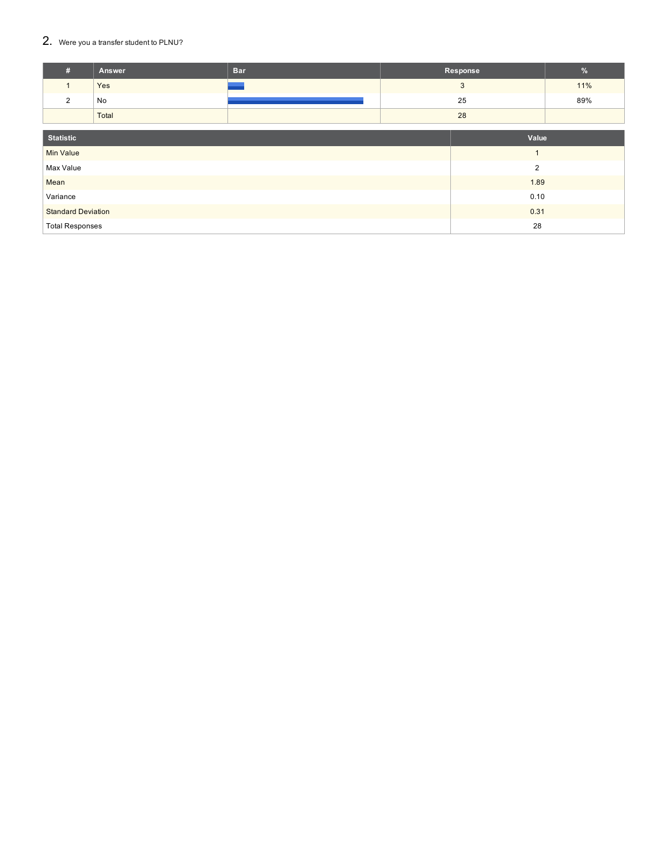## $2.$  Were you a transfer student to PLNU?

| #                         | Answer | <b>Bar</b> | Response       | $\frac{9}{6}$ |  |
|---------------------------|--------|------------|----------------|---------------|--|
| $\mathbf{1}$              | Yes    |            | 3              | 11%           |  |
| $\overline{2}$            | No     |            | 25             | 89%           |  |
|                           | Total  |            | 28             |               |  |
|                           |        |            |                |               |  |
| <b>Statistic</b>          |        |            | Value          |               |  |
| <b>Min Value</b>          |        |            | $\mathbf{1}$   |               |  |
| Max Value                 |        |            | $\overline{2}$ |               |  |
| Mean                      |        |            | 1.89           |               |  |
| Variance                  |        |            | 0.10           |               |  |
| <b>Standard Deviation</b> |        |            | 0.31           |               |  |
| <b>Total Responses</b>    |        |            | 28             |               |  |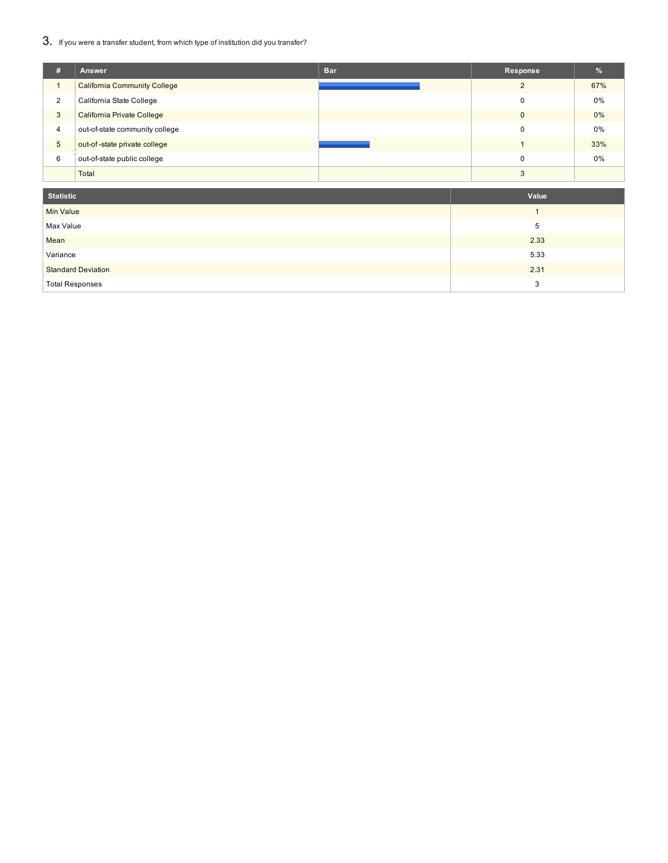3. If you were a transfer student, from which type of institution did you transfer?

| #              | Answer                              | <b>Bar</b> | Response | $\%$  |
|----------------|-------------------------------------|------------|----------|-------|
|                | <b>California Community College</b> |            | $\Omega$ | 67%   |
| $\overline{2}$ | California State College            |            | 0        | 0%    |
| 3              | California Private College          |            | $\Omega$ | $0\%$ |
| $\overline{4}$ | out-of-state community college      |            | $\Omega$ | 0%    |
| 5              | out-of-state private college        |            |          | 33%   |
| 6              | out-of-state public college         |            | $\Omega$ | 0%    |
|                | Total                               |            | 3        |       |

| <b>Statistic</b>          | Value |
|---------------------------|-------|
| <b>Min Value</b>          |       |
| Max Value                 | 5     |
| Mean                      | 2.33  |
| Variance                  | 5.33  |
| <b>Standard Deviation</b> | 2.31  |
| <b>Total Responses</b>    | 3     |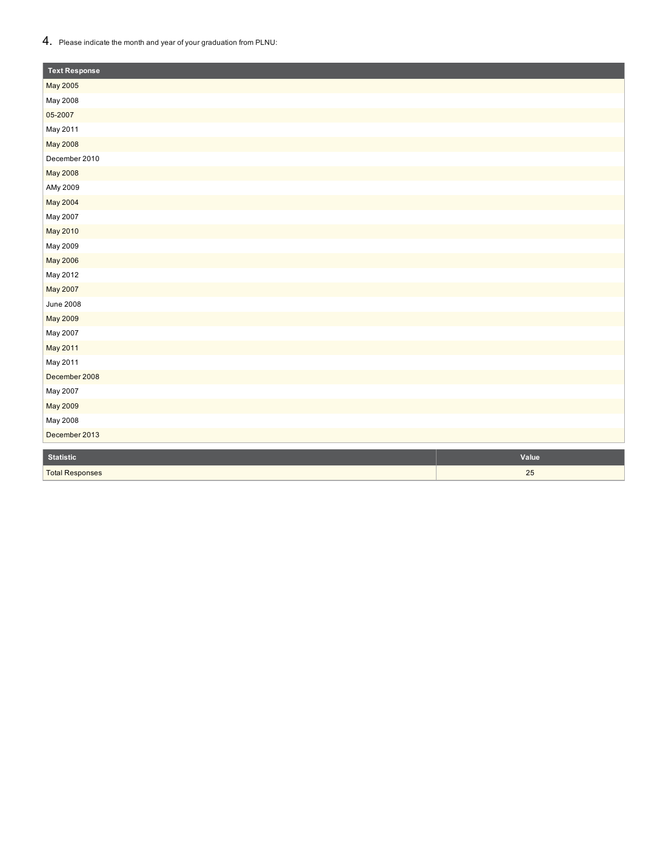## $\mathbf{4}_{\cdot}\;$  Please indicate the month and year of your graduation from PLNU:

| <b>Text Response</b>   |       |
|------------------------|-------|
| May 2005               |       |
| May 2008               |       |
| 05-2007                |       |
| May 2011               |       |
| May 2008               |       |
| December 2010          |       |
| May 2008               |       |
| AMy 2009               |       |
| May 2004               |       |
| May 2007               |       |
| May 2010               |       |
| May 2009               |       |
| May 2006               |       |
| May 2012               |       |
| May 2007               |       |
| <b>June 2008</b>       |       |
| May 2009               |       |
| May 2007               |       |
| May 2011               |       |
| May 2011               |       |
| December 2008          |       |
| May 2007               |       |
| May 2009               |       |
| May 2008               |       |
| December 2013          |       |
| <b>Statistic</b>       | Value |
| <b>Total Responses</b> | 25    |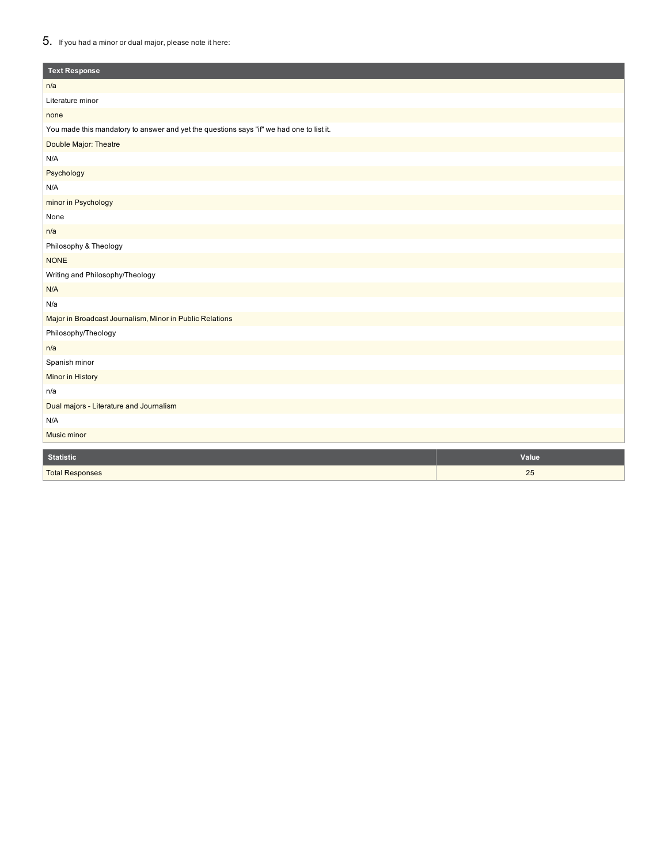## 5. If you had <sup>a</sup> minor or dual major, please note it here:

| <b>Text Response</b>                                                                     |
|------------------------------------------------------------------------------------------|
| n/a                                                                                      |
| Literature minor                                                                         |
| none                                                                                     |
| You made this mandatory to answer and yet the questions says "if" we had one to list it. |
| Double Major: Theatre                                                                    |
| N/A                                                                                      |
| Psychology                                                                               |
| N/A                                                                                      |
| minor in Psychology                                                                      |
| None                                                                                     |
| n/a                                                                                      |
| Philosophy & Theology                                                                    |
| <b>NONE</b>                                                                              |
| Writing and Philosophy/Theology                                                          |
| N/A                                                                                      |
| N/a                                                                                      |
| Major in Broadcast Journalism, Minor in Public Relations                                 |
| Philosophy/Theology                                                                      |
| n/a                                                                                      |
| Spanish minor                                                                            |
| Minor in History                                                                         |
| n/a                                                                                      |
| Dual majors - Literature and Journalism                                                  |
| N/A                                                                                      |
| Music minor                                                                              |
| <b>Statistic</b><br>Value                                                                |
| 25<br><b>Total Responses</b>                                                             |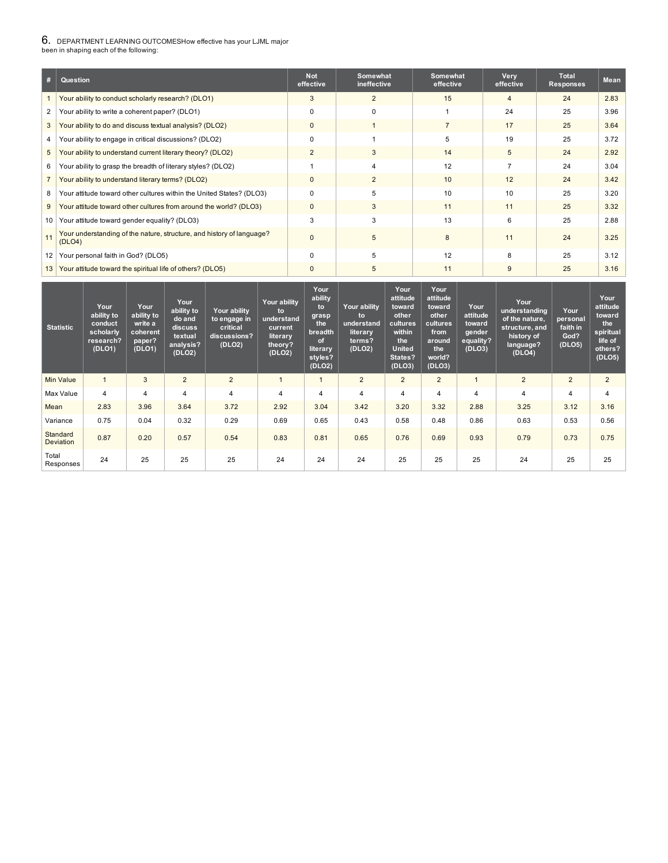#### 6. DEPARTMENT LEARNING OUTCOMESHow effective has your LJML major been in shaping each of the following:

1 Your ability to conduct scholarly research? (DLO1) 3 2 15 4 24 2.83 2 Your ability to write a coherent paper? (DLO1) 0 0 0 1 24 25 3.96 3 Your ability to do and discuss textual analysis? (DLO2) 0 1 1 7 17 25 3.64 4 Your ability to engage in critical discussions? (DLO2) 0 1 1 5 19 25 3.72 5 Your ability to understand current literary theory? (DLO2) 2 3 4 3 4 2.92 6 Your ability to grasp the breadth of literary styles? (DLO2) 1 1 4 12 12 7 24 3.04 7 Your ability to understand literary terms? (DLO2) 0 0 2 10 12 24 3.42 8 Your attitude toward other cultures within the United States? (DLO3) 0 10 5 10 10 10 25 3.20 9 Your attitude toward other cultures from around the world? (DLO3) 0 0 3 11 1 1 1 25 3.32 10 Your attitude toward gender equality? (DLO3) 13 3 3 3 3 4 3 4 3 4 3 4 3 4 25 4 2.88 11 Your understanding of the nature, structure, and history of language? (DLO4) 0  $\vert$  5  $\vert$  8  $\vert$  11  $\vert$  24  $\vert$  3.25 12 Your personal faith in God? (DLO5) 0 0 5 12 8 25 3.12 13 Your attitude toward the spiritual life of others? (DLO5) 0 0 0 5 11 9 25 3.16 **# Question Not effective Somewhat ineffective Somewhat effective Very effective Total Responses Mean**

| <b>Statistic</b>             | Your<br>ability to<br>conduct<br>scholarly<br>research?<br>(DLO1) | Your<br>ability to<br>write a<br>coherent<br>paper?<br>(DLO1) | Your<br>ability to<br>do and<br>discuss<br>textual<br>analysis?<br>(DLO2) | Your ability<br>to engage in<br>critical<br>discussions?<br>(DLO2) | Your ability<br>to<br>understand<br>current<br>literary<br>theory?<br>(DLO2) | Your<br>ability<br>to<br>grasp<br>the<br>breadth<br>of<br>literary<br>styles?<br>(DLO2) | <b>Your ability</b><br>to<br>understand<br><b>literary</b><br>terms?<br>(DLO2) | Your<br>attitude<br>toward<br>other<br>cultures<br>within<br>the<br><b>United</b><br>States?<br>(DLO3) | Your<br>attitude<br>toward<br>other<br>cultures<br>from<br>around<br>the<br>world?<br>(DLO3) | Your<br>attitude<br>toward<br>gender<br>equality?<br>(DLO3) | Your<br>understanding<br>of the nature,<br>structure, and<br>history of<br>language?<br>(DLO4) | Your<br>personal<br>faith in<br>God?<br>(DLO5) | Your<br>attitude<br>toward<br>the<br>spiritual<br>life of<br>others?<br>(DLO5) |
|------------------------------|-------------------------------------------------------------------|---------------------------------------------------------------|---------------------------------------------------------------------------|--------------------------------------------------------------------|------------------------------------------------------------------------------|-----------------------------------------------------------------------------------------|--------------------------------------------------------------------------------|--------------------------------------------------------------------------------------------------------|----------------------------------------------------------------------------------------------|-------------------------------------------------------------|------------------------------------------------------------------------------------------------|------------------------------------------------|--------------------------------------------------------------------------------|
| <b>Min Value</b>             |                                                                   | 3                                                             | $\overline{2}$                                                            | $\overline{2}$                                                     | 1                                                                            |                                                                                         | $\overline{2}$                                                                 | $\overline{2}$                                                                                         | $\overline{2}$                                                                               |                                                             | $2^{\circ}$                                                                                    | $\overline{2}$                                 | $\overline{2}$                                                                 |
| Max Value                    | 4                                                                 | 4                                                             | 4                                                                         | $\overline{4}$                                                     | 4                                                                            | 4                                                                                       | 4                                                                              | 4                                                                                                      | 4                                                                                            | 4                                                           | 4                                                                                              | 4                                              | $\overline{4}$                                                                 |
| Mean                         | 2.83                                                              | 3.96                                                          | 3.64                                                                      | 3.72                                                               | 2.92                                                                         | 3.04                                                                                    | 3.42                                                                           | 3.20                                                                                                   | 3.32                                                                                         | 2.88                                                        | 3.25                                                                                           | 3.12                                           | 3.16                                                                           |
| Variance                     | 0.75                                                              | 0.04                                                          | 0.32                                                                      | 0.29                                                               | 0.69                                                                         | 0.65                                                                                    | 0.43                                                                           | 0.58                                                                                                   | 0.48                                                                                         | 0.86                                                        | 0.63                                                                                           | 0.53                                           | 0.56                                                                           |
| Standard<br><b>Deviation</b> | 0.87                                                              | 0.20                                                          | 0.57                                                                      | 0.54                                                               | 0.83                                                                         | 0.81                                                                                    | 0.65                                                                           | 0.76                                                                                                   | 0.69                                                                                         | 0.93                                                        | 0.79                                                                                           | 0.73                                           | 0.75                                                                           |
| Total<br>Responses           | 24                                                                | 25                                                            | 25                                                                        | 25                                                                 | 24                                                                           | 24                                                                                      | 24                                                                             | 25                                                                                                     | 25                                                                                           | 25                                                          | 24                                                                                             | 25                                             | 25                                                                             |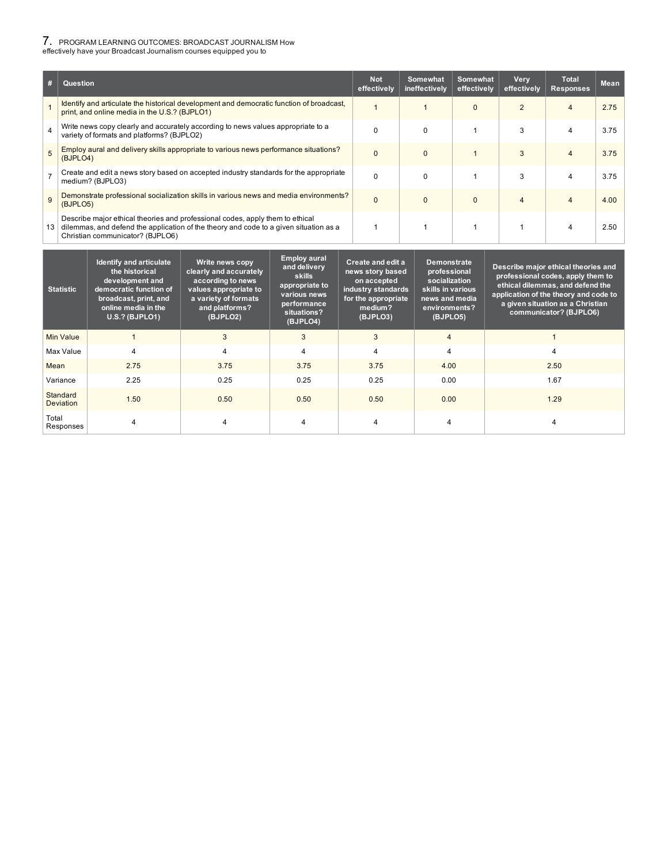### 7. PROGRAM LEARNING OUTCOMES: BROADCAST JOURNALISM How effectively have your Broadcast Journalism courses equipped you to

1 Identify and articulate the historical development and democratic function of broadcast, print, and online media in the U.S.? (BJPLO1) 1 | 1 | 0 | 2 | 4 | 2.75 <sup>4</sup> Write news copy clearly and accurately according to news values appropriate to <sup>a</sup> variety of formats and platforms? (BJPLO2) 0 0 1 1 3 4 3.75  $\overline{5}$  Employ aural and delivery skills appropriate to various news performance situations? (BJPLO4) 0 0 1 3 4 3.75  $7 \nvert$  Create and edit a news story based on accepted industry standards for the appropriate medium? (BJPLO3) 0 0 1 1 3 4 3.75 9 Demonstrate professional socialization skills in various news and media environments? (BJPLO5) 0 0 0 4 4 4.00 13 Describe major ethical theories and professional codes, apply them to ethical dilemmas, and defend the application of the theory and code to a given situation as a Christian communicator? (BJPLO6) 1 | 1 | 1 | 1 | 4 | 2.50 **# Question Not effectively Somewhat ineffectively Somewhat effectively Very effectively Total Responses Mean**

| <b>Statistic</b>             | <b>Identify and articulate</b><br>the historical<br>development and<br>democratic function of<br>broadcast, print, and<br>online media in the<br><b>U.S.? (BJPLO1)</b> | Write news copy<br>clearly and accurately<br>according to news<br>values appropriate to<br>a variety of formats<br>and platforms?<br>(BJPLO2) | <b>Employ aural</b><br>and delivery<br><b>skills</b><br>appropriate to<br>various news<br>performance<br>situations?<br>(BJPLO4) | Create and edit a<br>news story based<br>on accepted<br>industry standards<br>for the appropriate<br>medium?<br>(BJPLO3) | <b>Demonstrate</b><br>professional<br>socialization<br>skills in various<br>news and media<br>environments?<br>(BJPLO5) | Describe major ethical theories and<br>professional codes, apply them to<br>ethical dilemmas, and defend the<br>application of the theory and code to<br>a given situation as a Christian<br>communicator? (BJPLO6) |
|------------------------------|------------------------------------------------------------------------------------------------------------------------------------------------------------------------|-----------------------------------------------------------------------------------------------------------------------------------------------|----------------------------------------------------------------------------------------------------------------------------------|--------------------------------------------------------------------------------------------------------------------------|-------------------------------------------------------------------------------------------------------------------------|---------------------------------------------------------------------------------------------------------------------------------------------------------------------------------------------------------------------|
| Min Value                    |                                                                                                                                                                        | 3                                                                                                                                             | 3                                                                                                                                | 3                                                                                                                        | $\overline{4}$                                                                                                          |                                                                                                                                                                                                                     |
| Max Value                    | $\overline{\mathbf{4}}$                                                                                                                                                | 4                                                                                                                                             | $\overline{4}$                                                                                                                   | 4                                                                                                                        | 4                                                                                                                       | 4                                                                                                                                                                                                                   |
| Mean                         | 2.75                                                                                                                                                                   | 3.75                                                                                                                                          | 3.75                                                                                                                             | 3.75                                                                                                                     | 4.00                                                                                                                    | 2.50                                                                                                                                                                                                                |
| Variance                     | 2.25                                                                                                                                                                   | 0.25                                                                                                                                          | 0.25                                                                                                                             | 0.25                                                                                                                     | 0.00                                                                                                                    | 1.67                                                                                                                                                                                                                |
| Standard<br><b>Deviation</b> | 1.50                                                                                                                                                                   | 0.50                                                                                                                                          | 0.50                                                                                                                             | 0.50                                                                                                                     | 0.00                                                                                                                    | 1.29                                                                                                                                                                                                                |
| Total<br>Responses           | 4                                                                                                                                                                      |                                                                                                                                               | 4                                                                                                                                | $\overline{4}$                                                                                                           | 4                                                                                                                       |                                                                                                                                                                                                                     |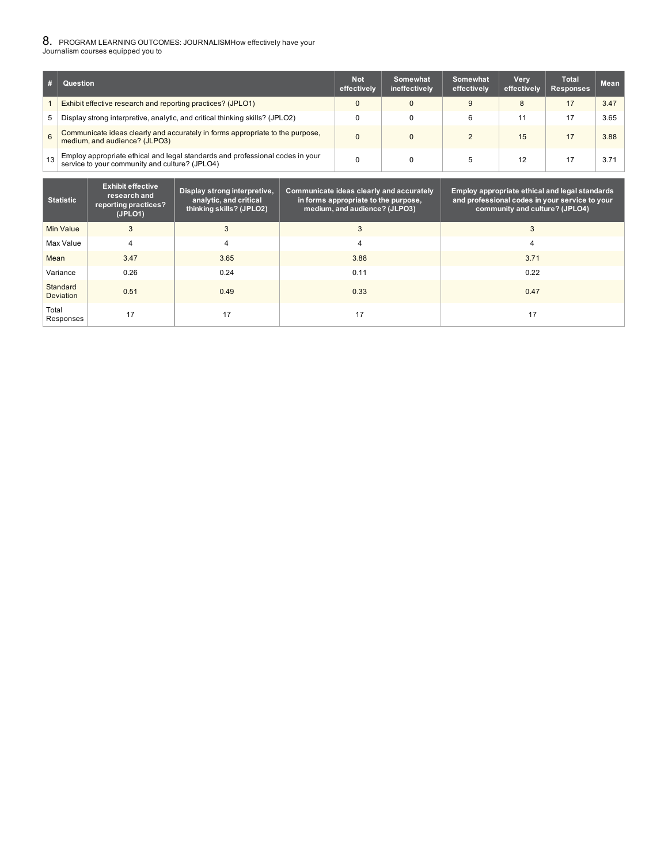### 8. PROGRAM LEARNING OUTCOMES: JOURNALISMHow effectively have your Journalism courses equipped you to

|    | Question                                                                                                                        | <b>Not</b><br>effectively | Somewhat<br>ineffectively | Somewhat<br>effectively | Very<br>effectively | <b>Total</b><br><b>Responses</b> | <b>Mean</b> |
|----|---------------------------------------------------------------------------------------------------------------------------------|---------------------------|---------------------------|-------------------------|---------------------|----------------------------------|-------------|
|    | Exhibit effective research and reporting practices? (JPLO1)                                                                     |                           |                           | 9                       | 8                   | 17                               | 3.47        |
| 5  | Display strong interpretive, analytic, and critical thinking skills? (JPLO2)                                                    |                           |                           |                         | 11                  | 17                               | 3.65        |
| 6  | Communicate ideas clearly and accurately in forms appropriate to the purpose,<br>medium, and audience? (JLPO3)                  |                           |                           |                         | 15                  | 17                               | 3.88        |
| 13 | Employ appropriate ethical and legal standards and professional codes in your<br>service to your community and culture? (JPLO4) |                           |                           |                         | 12                  |                                  | 3.71        |

| <b>Statistic</b>             | <b>Exhibit effective</b><br>research and<br>reporting practices?<br>(JPLO1) | Display strong interpretive,<br>analytic, and critical<br>thinking skills? (JPLO2) | Communicate ideas clearly and accurately<br>in forms appropriate to the purpose,<br>medium, and audience? (JLPO3) | Employ appropriate ethical and legal standards<br>and professional codes in your service to your<br>community and culture? (JPLO4) |
|------------------------------|-----------------------------------------------------------------------------|------------------------------------------------------------------------------------|-------------------------------------------------------------------------------------------------------------------|------------------------------------------------------------------------------------------------------------------------------------|
| Min Value                    | 3                                                                           | 3                                                                                  | 3                                                                                                                 | 3                                                                                                                                  |
| Max Value                    | 4                                                                           | 4                                                                                  | 4                                                                                                                 | 4                                                                                                                                  |
| Mean                         | 3.47                                                                        | 3.65                                                                               | 3.88                                                                                                              | 3.71                                                                                                                               |
| Variance                     | 0.26                                                                        | 0.24                                                                               | 0.11                                                                                                              | 0.22                                                                                                                               |
| Standard<br><b>Deviation</b> | 0.51                                                                        | 0.49                                                                               | 0.33                                                                                                              | 0.47                                                                                                                               |
| Total<br>Responses           | 17                                                                          | 17                                                                                 | 17                                                                                                                | 17                                                                                                                                 |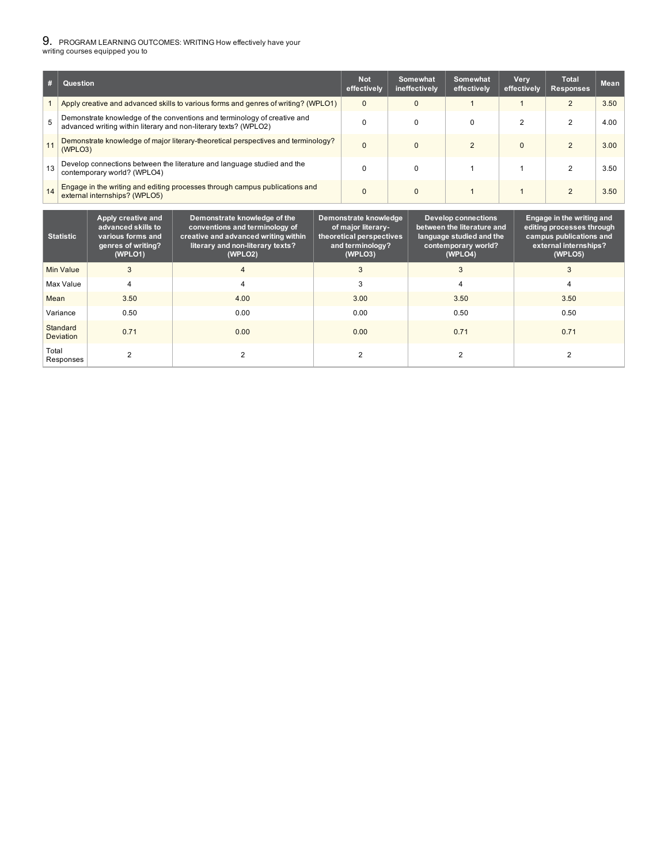### 9. PROGRAM LEARNING OUTCOMES: WRITING How effectively have your writing courses equipped you to

1 Apply creative and advanced skills to various forms and genres of writing? (WPLO1) 0 0 0 1 1 2 3.50 <sup>5</sup> Demonstrate knowledge of the conventions and terminology of creative and advanced writing within literary and non-literary texts? (WPLO2) 0 0 0 2 2 4.00 11 Demonstrate knowledge of major literary-theoretical perspectives and terminology? (WPLO3) 0 0 2 0 2 3.00 13 Develop connections between the literature and language studied and the<br>
contamporary world? (MDLO4) contemporary world? (WPLO4) 0 | 0 | 1 | 1 | 2 | 3.50 <sup>14</sup> Engage in the writing and editing processes through campus publications and external internships? (WPLO5) 0 0 1 1 1 2 3.50 **# Question Not effectively Somewhat ineffectively Somewhat effectively Very effectively Total Responses Mean**

| <b>Statistic</b>             | Apply creative and<br>advanced skills to<br>various forms and<br>genres of writing?<br>(WPLO1) | Demonstrate knowledge of the<br>conventions and terminology of<br>creative and advanced writing within<br>literary and non-literary texts?<br>(WPLO2) | Demonstrate knowledge<br>of major literary-<br>theoretical perspectives<br>and terminology?<br>(WPLO3) | <b>Develop connections</b><br>between the literature and<br>language studied and the<br>contemporary world?<br>(WPLO4) | Engage in the writing and<br>editing processes through<br>campus publications and<br>external internships?<br>(WPLO5) |
|------------------------------|------------------------------------------------------------------------------------------------|-------------------------------------------------------------------------------------------------------------------------------------------------------|--------------------------------------------------------------------------------------------------------|------------------------------------------------------------------------------------------------------------------------|-----------------------------------------------------------------------------------------------------------------------|
| Min Value                    | 3                                                                                              |                                                                                                                                                       |                                                                                                        | 3                                                                                                                      | 3                                                                                                                     |
| Max Value                    | 4                                                                                              | 4                                                                                                                                                     |                                                                                                        | 4                                                                                                                      |                                                                                                                       |
| Mean                         | 3.50                                                                                           | 4.00                                                                                                                                                  | 3.00                                                                                                   | 3.50                                                                                                                   | 3.50                                                                                                                  |
| Variance                     | 0.50                                                                                           | 0.00                                                                                                                                                  | 0.00                                                                                                   | 0.50                                                                                                                   | 0.50                                                                                                                  |
| Standard<br><b>Deviation</b> | 0.71                                                                                           | 0.00                                                                                                                                                  | 0.00                                                                                                   | 0.71                                                                                                                   | 0.71                                                                                                                  |
| Total<br>Responses           |                                                                                                |                                                                                                                                                       |                                                                                                        |                                                                                                                        |                                                                                                                       |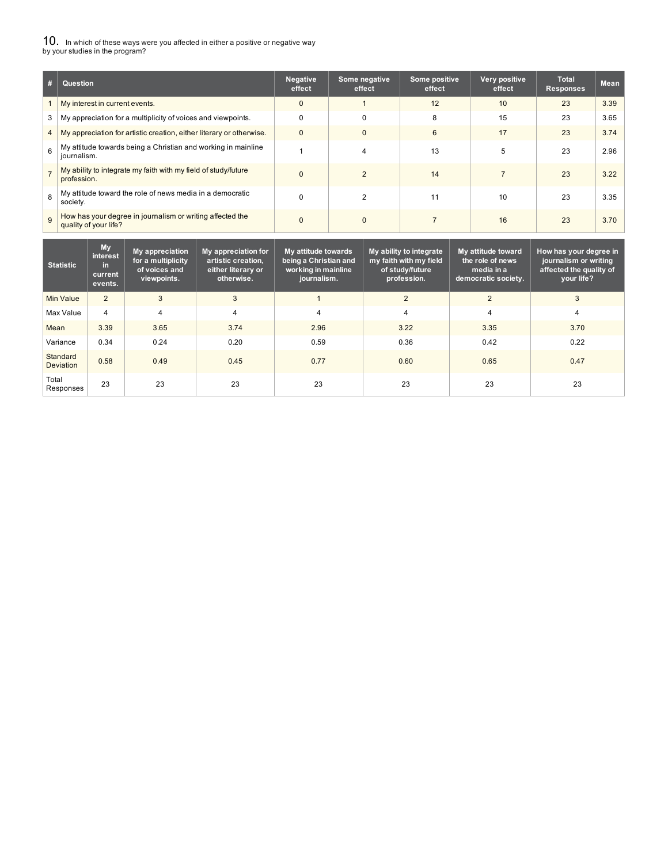# ${\bf 10}_{\cdot}\;$  In which of these ways were you affected in either a positive or negative way<br>by your studies in the program?

| #              | Question                                                                           | <b>Negative</b><br>effect | Some negative<br>effect | Some positive<br>effect | Very positive<br>effect | <b>Total</b><br><b>Responses</b> | <b>Mean</b> |
|----------------|------------------------------------------------------------------------------------|---------------------------|-------------------------|-------------------------|-------------------------|----------------------------------|-------------|
|                | My interest in current events.                                                     | $\mathbf 0$               |                         | 12                      | 10                      | 23                               | 3.39        |
| 3              | My appreciation for a multiplicity of voices and viewpoints.                       | $\Omega$                  | $\Omega$                | 8                       | 15                      | 23                               | 3.65        |
| $\overline{4}$ | My appreciation for artistic creation, either literary or otherwise.               | $\Omega$                  | $\Omega$                | 6                       | 17                      | 23                               | 3.74        |
| 6              | My attitude towards being a Christian and working in mainline<br>journalism.       |                           | 4                       | 13                      | 5                       | 23                               | 2.96        |
|                | My ability to integrate my faith with my field of study/future<br>profession.      | $\Omega$                  | $\mathfrak{p}$          | 14                      |                         | 23                               | 3.22        |
| 8              | My attitude toward the role of news media in a democratic<br>society.              |                           |                         | 11                      | 10                      | 23                               | 3.35        |
| 9              | How has your degree in journalism or writing affected the<br>quality of your life? | $\Omega$                  | $\mathbf{0}$            |                         | 16                      | 23                               | 3.70        |

| <b>Statistic</b>             | <b>My</b><br>interest<br>in.<br>current<br>events. | My appreciation<br>for a multiplicity<br>of voices and<br>viewpoints. | My appreciation for<br>artistic creation,<br>either literary or<br>otherwise. | My attitude towards<br>being a Christian and<br>working in mainline<br>journalism. | My ability to integrate<br>my faith with my field<br>of study/future<br>profession. | My attitude toward<br>the role of news<br>media in a<br>democratic society. | How has your degree in<br>journalism or writing<br>affected the quality of<br>vour life? |
|------------------------------|----------------------------------------------------|-----------------------------------------------------------------------|-------------------------------------------------------------------------------|------------------------------------------------------------------------------------|-------------------------------------------------------------------------------------|-----------------------------------------------------------------------------|------------------------------------------------------------------------------------------|
| Min Value                    | $\overline{2}$                                     | 3                                                                     | 3                                                                             |                                                                                    | $\overline{2}$                                                                      | $\overline{2}$                                                              | 3                                                                                        |
| Max Value                    | 4                                                  | 4                                                                     | 4                                                                             | $\overline{4}$                                                                     | $\overline{4}$                                                                      | 4                                                                           | 4                                                                                        |
| Mean                         | 3.39                                               | 3.65                                                                  | 3.74                                                                          | 2.96                                                                               | 3.22                                                                                | 3.35                                                                        | 3.70                                                                                     |
| Variance                     | 0.34                                               | 0.24                                                                  | 0.20                                                                          | 0.59                                                                               | 0.36                                                                                | 0.42                                                                        | 0.22                                                                                     |
| Standard<br><b>Deviation</b> | 0.58                                               | 0.49                                                                  | 0.45                                                                          | 0.77                                                                               | 0.60                                                                                | 0.65                                                                        | 0.47                                                                                     |
| Total<br>Responses           | 23                                                 | 23                                                                    | 23                                                                            | 23                                                                                 | 23                                                                                  | 23                                                                          | 23                                                                                       |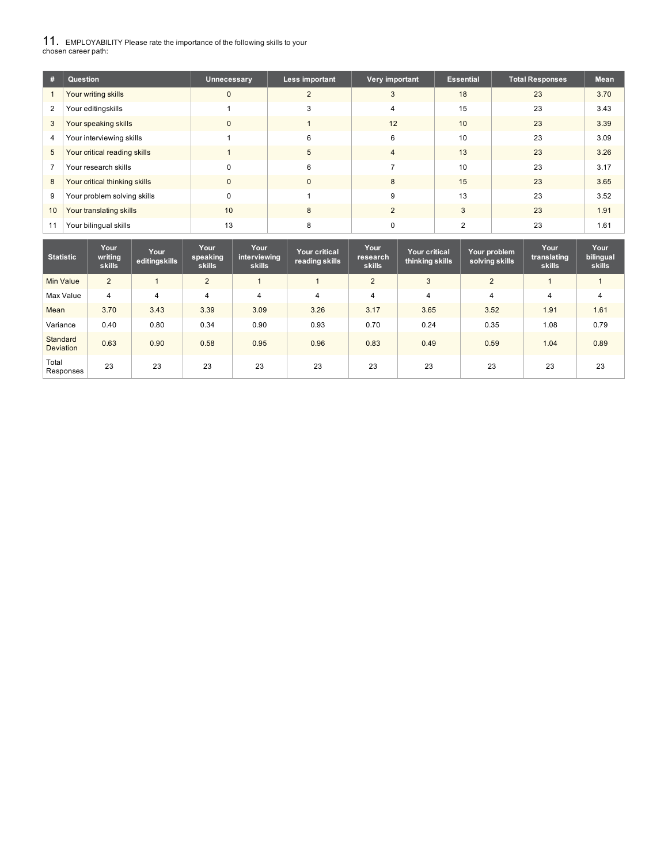11. EMPLOYABILITY Please rate the importance of the following skills to your chosen career path:

| #  | Question                      | Unnecessary | Less important | Very important | <b>Essential</b> | <b>Total Responses</b> | <b>Mean</b> |
|----|-------------------------------|-------------|----------------|----------------|------------------|------------------------|-------------|
|    | Your writing skills           |             | c              | 3              | 18               | 23                     | 3.70        |
| 2  | Your editingskills            |             | 3              |                | 15               | 23                     | 3.43        |
| 3  | Your speaking skills          |             |                | 12             | 10               | 23                     | 3.39        |
| 4  | Your interviewing skills      |             | 6              | 6              | 10               | 23                     | 3.09        |
| 5  | Your critical reading skills  |             | 5              |                | 13               | 23                     | 3.26        |
|    | Your research skills          |             | 6              |                | 10               | 23                     | 3.17        |
| 8  | Your critical thinking skills |             | $\mathbf{0}$   | 8              | 15               | 23                     | 3.65        |
| 9  | Your problem solving skills   | $\Omega$    |                | 9              | 13               | 23                     | 3.52        |
| 10 | Your translating skills       | 10          | 8              | $\overline{2}$ | 3                | 23                     | 1.91        |
|    | Your bilingual skills         | 13          | 8              |                |                  | 23                     | 1.61        |

| <b>Statistic</b>             | Your<br>writing<br>skills | Your<br>editingskills | Your<br>speaking<br>skills | Your<br>interviewing<br><b>skills</b> | <b>Your critical</b><br>reading skills | Your<br>research<br>skills | <b>Your critical</b><br>thinking skills | Your problem<br>solving skills | Your<br>translating<br><b>skills</b> | Your<br>bilingual<br><b>skills</b> |
|------------------------------|---------------------------|-----------------------|----------------------------|---------------------------------------|----------------------------------------|----------------------------|-----------------------------------------|--------------------------------|--------------------------------------|------------------------------------|
| Min Value                    | $\overline{2}$            |                       | $\overline{2}$             |                                       |                                        | 2                          | 3                                       | $\overline{2}$                 |                                      |                                    |
| Max Value                    | $\overline{4}$            | $\overline{4}$        | 4                          | 4                                     | $\overline{4}$                         | $\overline{4}$             | $\overline{4}$                          | $\overline{4}$                 | 4                                    | 4                                  |
| Mean                         | 3.70                      | 3.43                  | 3.39                       | 3.09                                  | 3.26                                   | 3.17                       | 3.65                                    | 3.52                           | 1.91                                 | 1.61                               |
| Variance                     | 0.40                      | 0.80                  | 0.34                       | 0.90                                  | 0.93                                   | 0.70                       | 0.24                                    | 0.35                           | 1.08                                 | 0.79                               |
| Standard<br><b>Deviation</b> | 0.63                      | 0.90                  | 0.58                       | 0.95                                  | 0.96                                   | 0.83                       | 0.49                                    | 0.59                           | 1.04                                 | 0.89                               |
| Total<br>Responses           | 23                        | 23                    | 23                         | 23                                    | 23                                     | 23                         | 23                                      | 23                             | 23                                   | 23                                 |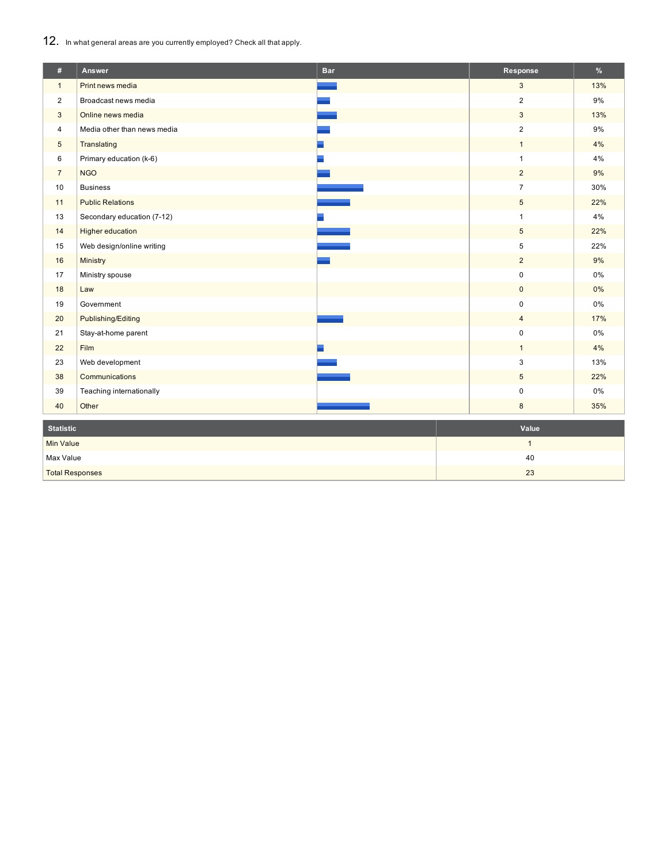12. In what general areas are you currently employed? Check all that apply.

| #                      | Answer                      | <b>Bar</b> | Response       | $\%$  |  |
|------------------------|-----------------------------|------------|----------------|-------|--|
| $\mathbf{1}$           | Print news media            |            | $\mathbf{3}$   | 13%   |  |
| $\overline{2}$         | Broadcast news media        |            | $\overline{2}$ | 9%    |  |
| 3                      | Online news media           |            | 3              | 13%   |  |
| $\overline{4}$         | Media other than news media |            | $\overline{2}$ | 9%    |  |
| $\sqrt{5}$             | Translating                 |            | $\mathbf{1}$   | 4%    |  |
| 6                      | Primary education (k-6)     |            | 1              | 4%    |  |
| $\overline{7}$         | <b>NGO</b>                  |            | $\overline{2}$ | 9%    |  |
| 10                     | <b>Business</b>             |            | $\overline{7}$ | 30%   |  |
| 11                     | <b>Public Relations</b>     |            | 5              | 22%   |  |
| 13                     | Secondary education (7-12)  |            | $\mathbf{1}$   | $4\%$ |  |
| 14                     | <b>Higher education</b>     |            | $\overline{5}$ | 22%   |  |
| 15                     | Web design/online writing   |            | 5              | 22%   |  |
| 16                     | Ministry                    |            | $\overline{2}$ | 9%    |  |
| 17                     | Ministry spouse             |            | 0              | $0\%$ |  |
| 18                     | Law                         |            | $\mathbf{0}$   | $0\%$ |  |
| 19                     | Government                  |            | 0              | 0%    |  |
| 20                     | Publishing/Editing          |            | $\overline{4}$ | 17%   |  |
| 21                     | Stay-at-home parent         |            | $\mathbf 0$    | $0\%$ |  |
| 22                     | Film                        |            | $\mathbf{1}$   | 4%    |  |
| 23                     | Web development             |            | 3              | 13%   |  |
| 38                     | Communications              |            | $\overline{5}$ | 22%   |  |
| 39                     | Teaching internationally    |            | 0              | $0\%$ |  |
| 40                     | Other                       |            | $\bf 8$        | 35%   |  |
| <b>Statistic</b>       |                             |            | Value          |       |  |
| <b>Min Value</b>       |                             |            | $\mathbf{1}$   |       |  |
| Max Value              |                             |            | 40             |       |  |
| <b>Total Responses</b> |                             |            | 23             |       |  |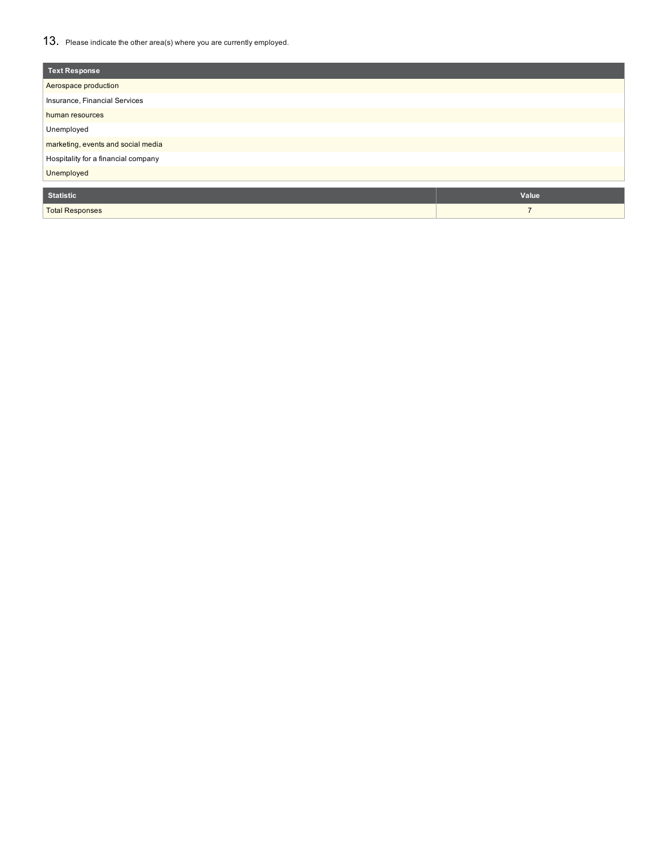## 13. Please indicate the other area(s) where you are currently employed.

| <b>Text Response</b>                |                |
|-------------------------------------|----------------|
| Aerospace production                |                |
| Insurance, Financial Services       |                |
| human resources                     |                |
| Unemployed                          |                |
| marketing, events and social media  |                |
| Hospitality for a financial company |                |
| Unemployed                          |                |
|                                     |                |
| <b>Statistic</b>                    | Value          |
| <b>Total Responses</b>              | $\overline{ }$ |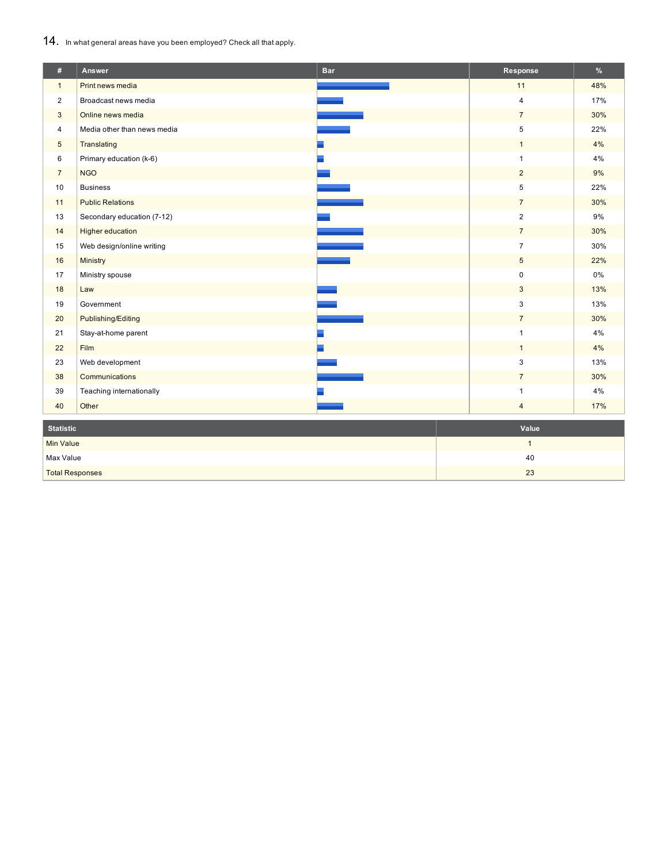## 14. In what general areas have you been employed? Check all that apply.

| #                      | Answer                      | <b>Bar</b> | Response                | $\%$  |  |
|------------------------|-----------------------------|------------|-------------------------|-------|--|
| $\mathbf{1}$           | Print news media            |            | 11                      | 48%   |  |
| $\overline{2}$         | Broadcast news media        |            | $\overline{\mathbf{4}}$ | 17%   |  |
| 3                      | Online news media           |            | $\overline{7}$          | 30%   |  |
| $\overline{4}$         | Media other than news media |            | 5                       | 22%   |  |
| $\overline{5}$         | Translating                 |            | $\mathbf{1}$            | 4%    |  |
| 6                      | Primary education (k-6)     |            | 1                       | 4%    |  |
| $\overline{7}$         | <b>NGO</b>                  |            | $\overline{2}$          | $9\%$ |  |
| 10                     | <b>Business</b>             |            | 5                       | 22%   |  |
| 11                     | <b>Public Relations</b>     |            | $\overline{7}$          | 30%   |  |
| 13                     | Secondary education (7-12)  |            | $\overline{2}$          | $9\%$ |  |
| 14                     | <b>Higher education</b>     |            | $\overline{7}$          | 30%   |  |
| 15                     | Web design/online writing   |            | $\overline{7}$          | 30%   |  |
| 16                     | Ministry                    |            | $\overline{5}$          | 22%   |  |
| 17                     | Ministry spouse             |            | 0                       | 0%    |  |
| 18                     | Law                         |            | 3                       | 13%   |  |
| 19                     | Government                  |            | 3                       | 13%   |  |
| 20                     | Publishing/Editing          |            | $\overline{7}$          | 30%   |  |
| 21                     | Stay-at-home parent         |            | $\mathbf{1}$            | 4%    |  |
| 22                     | Film                        |            | $\mathbf{1}$            | 4%    |  |
| 23                     | Web development             |            | 3                       | 13%   |  |
| 38                     | Communications              |            | $\overline{7}$          | 30%   |  |
| 39                     | Teaching internationally    |            | $\mathbf{1}$            | 4%    |  |
| 40                     | Other                       |            | $\overline{4}$          | 17%   |  |
| <b>Statistic</b>       |                             |            | Value                   |       |  |
| <b>Min Value</b>       |                             |            | $\mathbf{1}$            |       |  |
| Max Value              |                             |            | 40                      |       |  |
| <b>Total Responses</b> |                             |            | 23                      |       |  |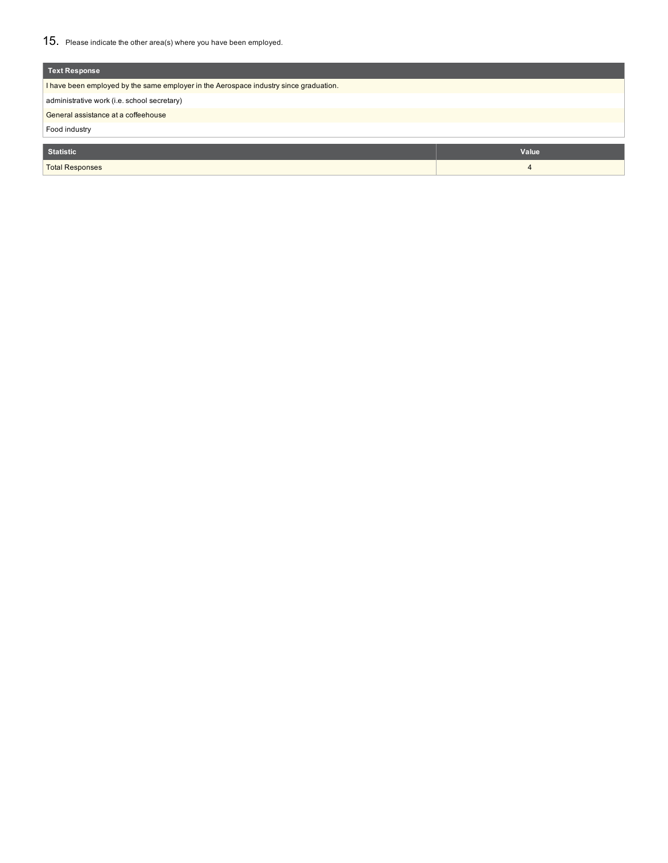| Text Response                                                                         |                |  |  |  |  |  |
|---------------------------------------------------------------------------------------|----------------|--|--|--|--|--|
| I have been employed by the same employer in the Aerospace industry since graduation. |                |  |  |  |  |  |
| administrative work (i.e. school secretary)                                           |                |  |  |  |  |  |
| General assistance at a coffeehouse                                                   |                |  |  |  |  |  |
| Food industry                                                                         |                |  |  |  |  |  |
|                                                                                       |                |  |  |  |  |  |
| <b>Statistic</b>                                                                      | Value          |  |  |  |  |  |
| <b>Total Responses</b>                                                                | $\overline{4}$ |  |  |  |  |  |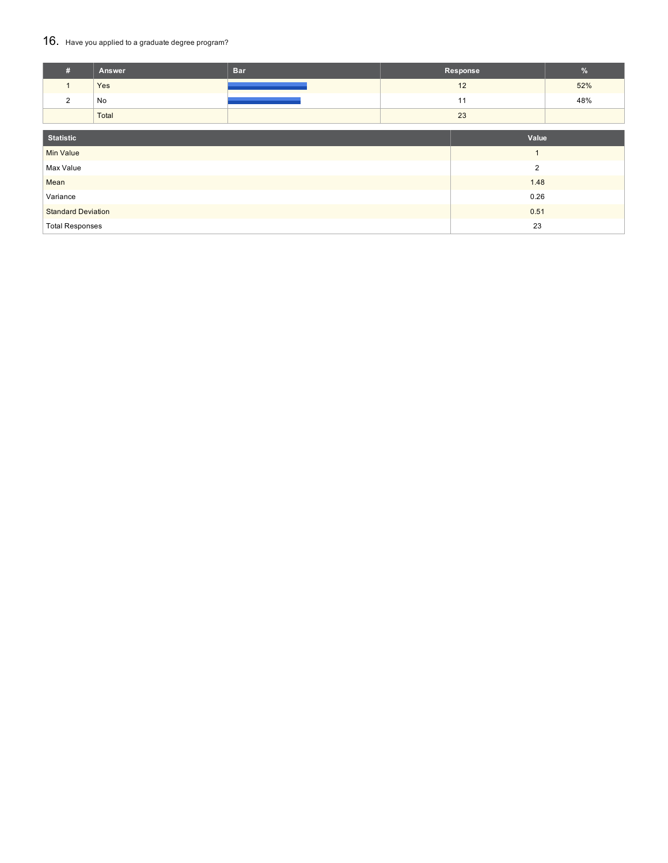## 16. Have you applied to a graduate degree program?

| #                         | Answer | <b>Bar</b> |  | Response       | %   |  |
|---------------------------|--------|------------|--|----------------|-----|--|
| $\mathbf{1}$              | Yes    |            |  | 12             | 52% |  |
| $\overline{2}$            | No     |            |  | 11             | 48% |  |
|                           | Total  |            |  | 23             |     |  |
|                           |        |            |  |                |     |  |
| <b>Statistic</b>          |        |            |  | Value          |     |  |
| <b>Min Value</b>          |        |            |  | $\overline{1}$ |     |  |
| Max Value                 |        |            |  | $\overline{2}$ |     |  |
| Mean                      |        |            |  | 1.48           |     |  |
| Variance                  |        |            |  | 0.26           |     |  |
| <b>Standard Deviation</b> |        |            |  | 0.51           |     |  |
| <b>Total Responses</b>    |        | 23         |  |                |     |  |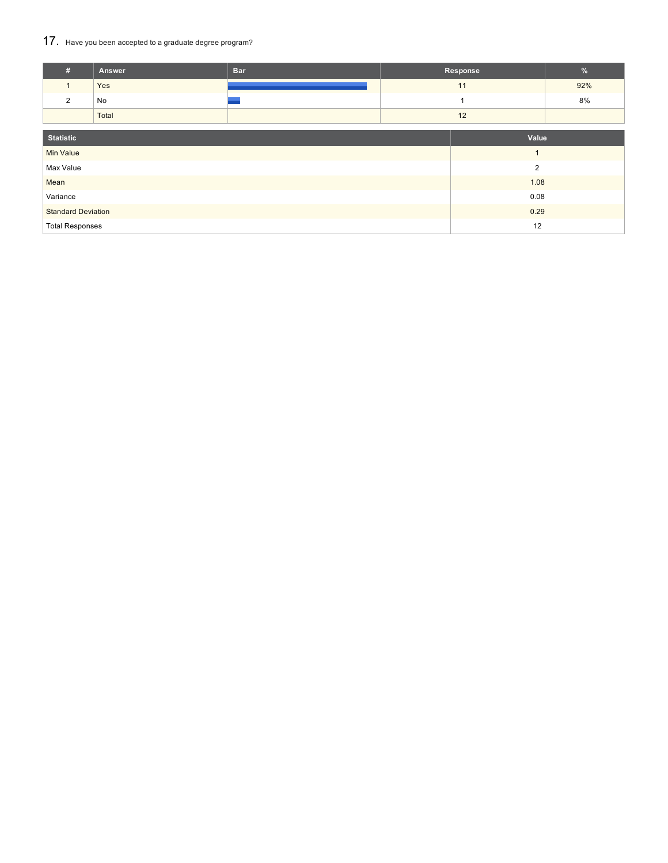## 17. Have you been accepted to a graduate degree program?

| #                         | Answer | <b>Bar</b> |    | Response       | %   |
|---------------------------|--------|------------|----|----------------|-----|
| $\mathbf{1}$              | Yes    |            |    | 11             | 92% |
| $\overline{2}$            | No     |            |    |                | 8%  |
|                           | Total  |            |    | 12             |     |
|                           |        |            |    |                |     |
| <b>Statistic</b>          |        |            |    | Value          |     |
| <b>Min Value</b>          |        |            |    | $\overline{1}$ |     |
| Max Value                 |        |            |    | $\overline{2}$ |     |
| Mean                      |        |            |    | 1.08           |     |
| Variance                  |        |            |    | 0.08           |     |
| <b>Standard Deviation</b> |        |            |    | 0.29           |     |
| <b>Total Responses</b>    |        |            | 12 |                |     |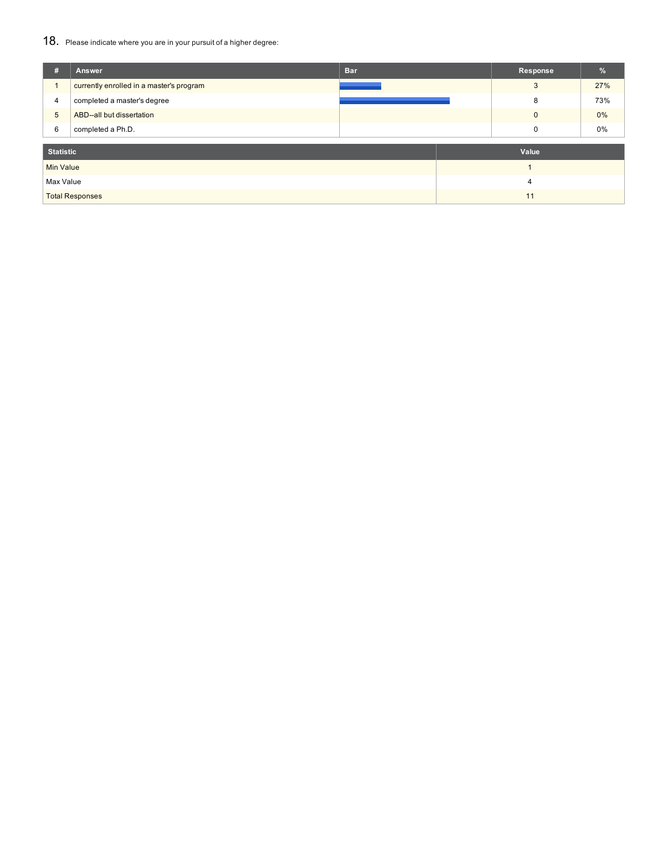## 18. Please indicate where you are in your pursuit of a higher degree:

| #                | <b>Answer</b>                            | <b>Bar</b> | <b>Response</b> | %     |
|------------------|------------------------------------------|------------|-----------------|-------|
|                  | currently enrolled in a master's program |            | 3               | 27%   |
| 4                | completed a master's degree              |            | 8               | 73%   |
| $5\phantom{.0}$  | ABD--all but dissertation                |            | $\mathbf{0}$    | $0\%$ |
| 6                | completed a Ph.D.                        |            | 0               | 0%    |
|                  |                                          |            |                 |       |
| <b>Statistic</b> |                                          |            | Value           |       |
| Min Value        |                                          |            |                 |       |
| Max Value        |                                          |            | 4               |       |
|                  | <b>Total Responses</b>                   |            | 11              |       |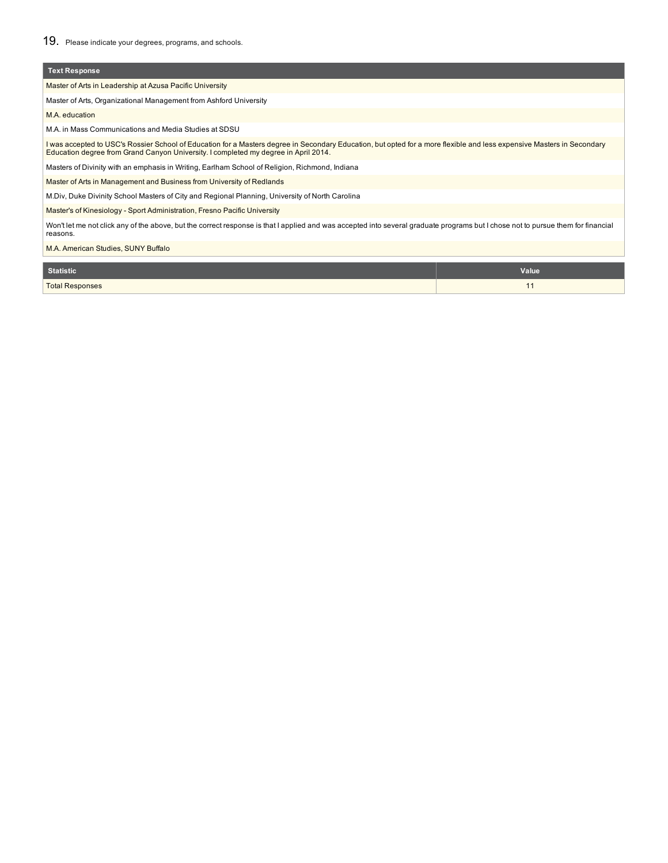## **Text Response**

Master of Arts in Leadership at Azusa Pacific University

Master of Arts, Organizational Management from Ashford University

M.A. education

M.A. in Mass Communications and Media Studies at SDSU

l was accepted to USC's Rossier School of Education for a Masters degree in Secondary Education, but opted for a more flexible and less expensive Masters in Secondary<br>Education degree from Grand Canyon University. I comple

Masters of Divinity with an emphasis in Writing, Earlham School of Religion, Richmond, Indiana

Master of Arts in Management and Business from University of Redlands

M.Div, Duke Divinity School Masters of City and Regional Planning, University of North Carolina

Master's of Kinesiology - Sport Administration, Fresno Pacific University

Won't let me not click any of the above, but the correct response is that I applied and was accepted into several graduate programs but I chose not to pursue them for financial reasons.

M.A. American Studies, SUNY Buffalo

| <b>Statistic</b>       | Value |
|------------------------|-------|
| <b>Total Responses</b> |       |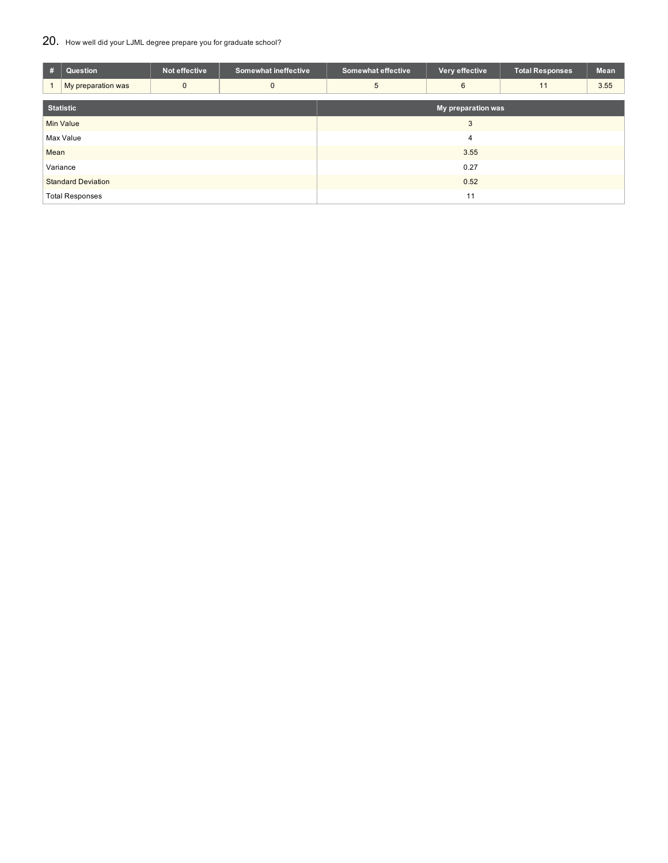## 20. How well did your LJML degree prepare you for graduate school?

| #                         | Question           | Not effective | <b>Somewhat ineffective</b> | <b>Somewhat effective</b> | Very effective | <b>Total Responses</b> | Mean |  |  |
|---------------------------|--------------------|---------------|-----------------------------|---------------------------|----------------|------------------------|------|--|--|
|                           | My preparation was | $\mathbf{0}$  | $\mathbf{0}$                | 5                         | 6              | 11                     | 3.55 |  |  |
| <b>Statistic</b>          |                    |               |                             | My preparation was        |                |                        |      |  |  |
|                           | <b>Min Value</b>   |               |                             |                           | 3              |                        |      |  |  |
|                           | Max Value          |               |                             | $\overline{4}$            |                |                        |      |  |  |
| Mean                      |                    |               |                             | 3.55                      |                |                        |      |  |  |
| Variance                  |                    |               |                             | 0.27                      |                |                        |      |  |  |
| <b>Standard Deviation</b> |                    |               |                             | 0.52                      |                |                        |      |  |  |
| <b>Total Responses</b>    |                    |               |                             | 11                        |                |                        |      |  |  |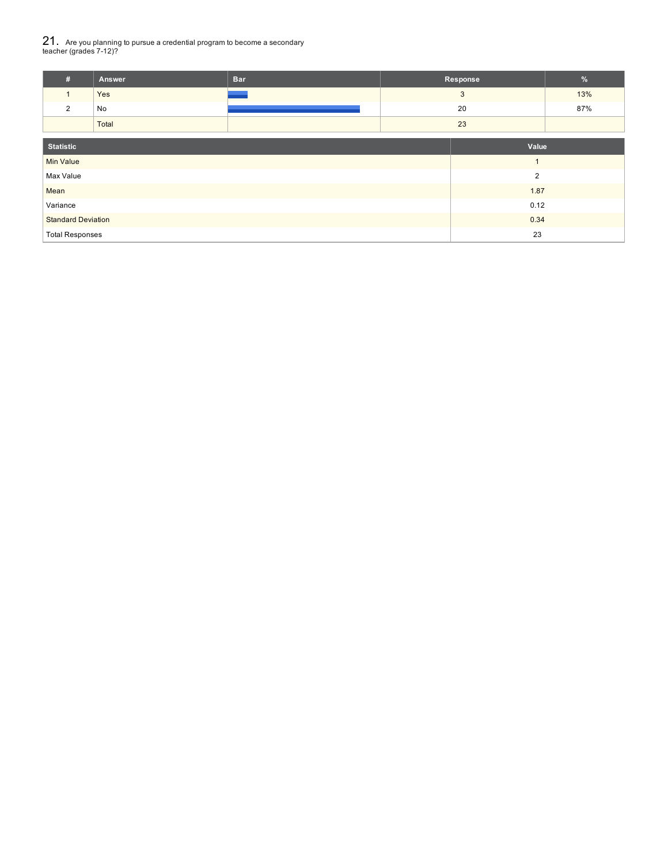# $21_\cdot$  Are you planning to pursue a credential program to become a secondary<br>teacher (grades 7-12)?

| Answer | <b>Bar</b> | Response |     |
|--------|------------|----------|-----|
| Yes    |            |          | 13% |
| No     |            | 20       | 87% |
| Total  |            | 23       |     |

| <b>Statistic</b>          | Value          |
|---------------------------|----------------|
| Min Value                 |                |
| Max Value                 | $\overline{2}$ |
| Mean                      | 1.87           |
| Variance                  | 0.12           |
| <b>Standard Deviation</b> | 0.34           |
| <b>Total Responses</b>    | 23             |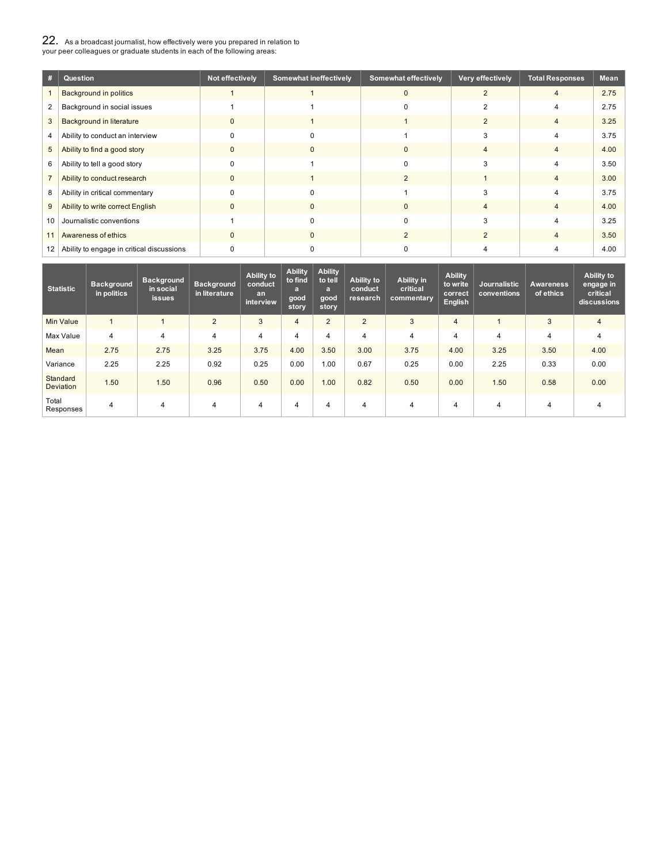| 22. As a broadcast journalist, how effectively were you prepared in relation to |
|---------------------------------------------------------------------------------|
| your peer colleagues or graduate students in each of the following areas:       |

| #              | Question                                  | Not effectively | <b>Somewhat ineffectively</b> | <b>Somewhat effectively</b> | Very effectively | <b>Total Responses</b> | <b>Mean</b> |
|----------------|-------------------------------------------|-----------------|-------------------------------|-----------------------------|------------------|------------------------|-------------|
|                | <b>Background in politics</b>             |                 |                               | $\Omega$                    |                  | 4                      | 2.75        |
| $\overline{2}$ | Background in social issues               |                 |                               |                             |                  |                        | 2.75        |
| 3              | <b>Background in literature</b>           | O               |                               |                             |                  | 4                      | 3.25        |
| 4              | Ability to conduct an interview           |                 | n                             |                             |                  |                        | 3.75        |
| 5              | Ability to find a good story              | ŋ               | 0                             | $\Omega$                    |                  | 4                      | 4.00        |
| 6              | Ability to tell a good story              |                 |                               | C                           | 3                |                        | 3.50        |
|                | Ability to conduct research               | ŋ               |                               |                             |                  |                        | 3.00        |
| 8              | Ability in critical commentary            |                 |                               |                             |                  |                        | 3.75        |
| 9              | Ability to write correct English          | $\Omega$        |                               | $\Omega$                    |                  | 4                      | 4.00        |
| 10             | Journalistic conventions                  |                 | n                             | C                           |                  |                        | 3.25        |
| 11             | Awareness of ethics                       | $\Omega$        | $\Omega$                      |                             |                  | $\overline{4}$         | 3.50        |
| 12             | Ability to engage in critical discussions |                 |                               |                             |                  |                        | 4.00        |

| <b>Statistic</b>             | <b>Background</b><br>in politics | <b>Background</b><br>in social<br><i>issues</i> | <b>Background</b><br>in literature | Ability to<br>conduct<br>an<br>interview | <b>Ability</b><br>to find<br>$\overline{a}$<br>good<br>story | <b>Ability</b><br>to tell<br>$\overline{a}$<br>good<br>story | Ability to<br>conduct<br>research | Ability in<br>critical<br>commentary | <b>Ability</b><br>to write<br>correct<br><b>English</b> | <b>Journalistic</b><br>conventions | <b>Awareness</b><br>of ethics | <b>Ability to</b><br>engage in<br>critical<br>discussions |
|------------------------------|----------------------------------|-------------------------------------------------|------------------------------------|------------------------------------------|--------------------------------------------------------------|--------------------------------------------------------------|-----------------------------------|--------------------------------------|---------------------------------------------------------|------------------------------------|-------------------------------|-----------------------------------------------------------|
| Min Value                    |                                  |                                                 | $\overline{2}$                     | 3                                        | $\overline{4}$                                               | $\overline{2}$                                               | $\overline{2}$                    | 3                                    | $\overline{4}$                                          |                                    | 3                             | $\overline{4}$                                            |
| Max Value                    | $\overline{4}$                   | $\overline{4}$                                  | 4                                  | 4                                        | 4                                                            | 4                                                            | 4                                 | $\overline{4}$                       | 4                                                       | 4                                  | 4                             | 4                                                         |
| Mean                         | 2.75                             | 2.75                                            | 3.25                               | 3.75                                     | 4.00                                                         | 3.50                                                         | 3.00                              | 3.75                                 | 4.00                                                    | 3.25                               | 3.50                          | 4.00                                                      |
| Variance                     | 2.25                             | 2.25                                            | 0.92                               | 0.25                                     | 0.00                                                         | 1.00                                                         | 0.67                              | 0.25                                 | 0.00                                                    | 2.25                               | 0.33                          | 0.00                                                      |
| Standard<br><b>Deviation</b> | 1.50                             | 1.50                                            | 0.96                               | 0.50                                     | 0.00                                                         | 1.00                                                         | 0.82                              | 0.50                                 | 0.00                                                    | 1.50                               | 0.58                          | 0.00                                                      |
| Total<br>Responses           | 4                                | 4                                               | 4                                  | 4                                        | 4                                                            | 4                                                            | 4                                 | 4                                    | 4                                                       | 4                                  | 4                             | 4                                                         |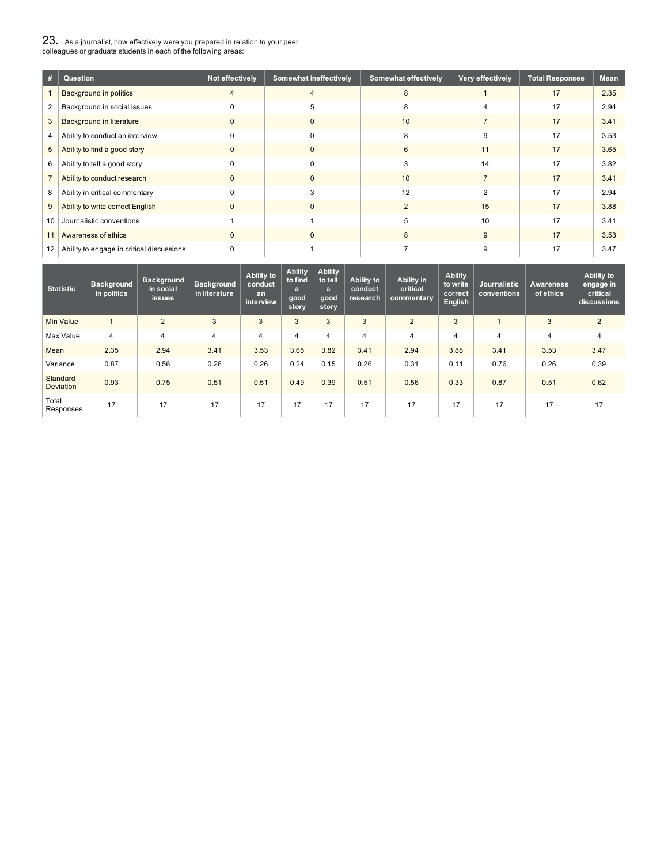23. As <sup>a</sup> journalist, how effectively were you prepared in relation to your peer colleagues or graduate students in each of the following areas:

| #              | Question                                  | Not effectively | <b>Somewhat ineffectively</b> | <b>Somewhat effectively</b> | Very effectively | <b>Total Responses</b> | Mean |
|----------------|-------------------------------------------|-----------------|-------------------------------|-----------------------------|------------------|------------------------|------|
|                | <b>Background in politics</b>             | 4               | 4                             | 8                           |                  | 17                     | 2.35 |
| $\overline{2}$ | Background in social issues               | 0               | 5                             |                             |                  | 17                     | 2.94 |
| 3              | <b>Background in literature</b>           | 0               | $\mathbf{0}$                  | 10                          |                  | 17                     | 3.41 |
| 4              | Ability to conduct an interview           | $\Omega$        | $\Omega$                      | 8                           | 9                | 17                     | 3.53 |
| 5              | Ability to find a good story              | $\mathbf{0}$    | $\Omega$                      | 6                           | 11               | 17                     | 3.65 |
| 6              | Ability to tell a good story              | $\Omega$        | $\Omega$                      | 3                           | 14               | 17                     | 3.82 |
|                | Ability to conduct research               | $\mathbf{0}$    | $\mathbf 0$                   | 10                          |                  | 17                     | 3.41 |
| 8              | Ability in critical commentary            | $\Omega$        |                               | 12                          |                  | 17                     | 2.94 |
| 9              | Ability to write correct English          | 0               | $\Omega$                      | 2                           | 15               | 17                     | 3.88 |
| 10             | Journalistic conventions                  |                 |                               |                             | 10               | 17                     | 3.41 |
| 11             | Awareness of ethics                       | $\mathbf{0}$    | $\Omega$                      | 8                           | 9                | 17                     | 3.53 |
| 12             | Ability to engage in critical discussions |                 |                               |                             |                  | 17                     | 3.47 |

| <b>Statistic</b>             | <b>Background</b><br>in politics | <b>Background</b><br>in social<br><b>issues</b> | <b>Background</b><br>in literature | Ability to<br>conduct<br>an<br>interview | <b>Ability</b><br>to find<br>a<br>good<br>story | <b>Ability</b><br>to tell<br>a<br>good<br>story | Ability to<br>conduct<br>research | Ability in<br>critical<br>commentary | <b>Ability</b><br>to write<br>correct<br><b>English</b> | Journalistic<br>conventions | <b>Awareness</b><br>of ethics | Ability to<br>engage in<br>critical<br>discussions |
|------------------------------|----------------------------------|-------------------------------------------------|------------------------------------|------------------------------------------|-------------------------------------------------|-------------------------------------------------|-----------------------------------|--------------------------------------|---------------------------------------------------------|-----------------------------|-------------------------------|----------------------------------------------------|
| Min Value                    |                                  | $\overline{2}$                                  | 3                                  | 3                                        | 3                                               | 3                                               | 3                                 | $\overline{2}$                       | 3                                                       |                             | 3                             | $\overline{2}$                                     |
| Max Value                    | $\overline{4}$                   | 4                                               | 4                                  | 4                                        | 4                                               | 4                                               | 4                                 | $\overline{4}$                       | 4                                                       | 4                           | 4                             | 4                                                  |
| Mean                         | 2.35                             | 2.94                                            | 3.41                               | 3.53                                     | 3.65                                            | 3.82                                            | 3.41                              | 2.94                                 | 3.88                                                    | 3.41                        | 3.53                          | 3.47                                               |
| Variance                     | 0.87                             | 0.56                                            | 0.26                               | 0.26                                     | 0.24                                            | 0.15                                            | 0.26                              | 0.31                                 | 0.11                                                    | 0.76                        | 0.26                          | 0.39                                               |
| Standard<br><b>Deviation</b> | 0.93                             | 0.75                                            | 0.51                               | 0.51                                     | 0.49                                            | 0.39                                            | 0.51                              | 0.56                                 | 0.33                                                    | 0.87                        | 0.51                          | 0.62                                               |
| Total<br>Responses           | 17                               | 17                                              | 17                                 | 17                                       | 17                                              | 17                                              | 17                                | 17                                   | 17                                                      | 17                          | 17                            | 17                                                 |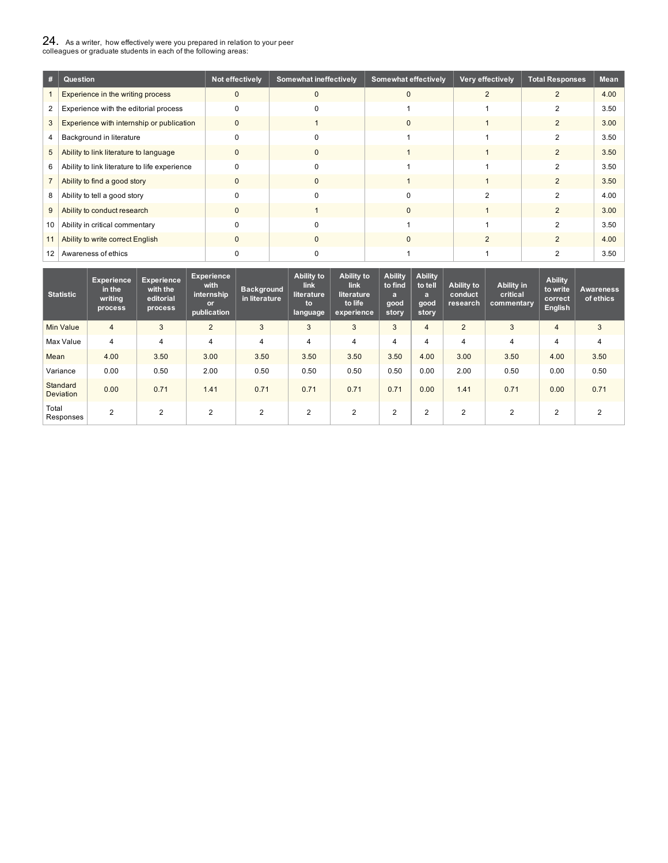# $24_{\cdot}$  As a writer, how effectively were you prepared in relation to your peer<br>colleagues or graduate students in each of the following areas:

|    | Question                                      | Not effectively | <b>Somewhat ineffectively</b> | <b>Somewhat effectively</b> | Very effectively | <b>Total Responses</b> | Mean |
|----|-----------------------------------------------|-----------------|-------------------------------|-----------------------------|------------------|------------------------|------|
|    | Experience in the writing process             | $\mathbf 0$     |                               | $\Omega$                    |                  |                        | 4.00 |
| 2  | Experience with the editorial process         |                 |                               |                             |                  |                        | 3.50 |
| 3  | Experience with internship or publication     | $\mathbf{0}$    |                               | 0                           |                  | $\overline{2}$         | 3.00 |
| 4  | Background in literature                      |                 |                               |                             |                  | 2                      | 3.50 |
| 5  | Ability to link literature to language        | $\Omega$        | n                             |                             |                  | $\overline{2}$         | 3.50 |
| 6  | Ability to link literature to life experience |                 |                               |                             |                  |                        | 3.50 |
|    | Ability to find a good story                  |                 | 0                             |                             |                  | 2                      | 3.50 |
| 8  | Ability to tell a good story                  |                 |                               |                             |                  |                        | 4.00 |
| 9  | Ability to conduct research                   | $\Omega$        |                               | 0                           |                  | $\overline{2}$         | 3.00 |
| 10 | Ability in critical commentary                |                 |                               |                             |                  |                        | 3.50 |
| 11 | Ability to write correct English              | $\Omega$        | n                             |                             |                  | $\overline{2}$         | 4.00 |
| 12 | Awareness of ethics                           |                 |                               |                             |                  |                        | 3.50 |

| <b>Statistic</b>             | <b>Experience</b><br>in the<br>writing<br>process | <b>Experience</b><br>with the<br>editorial<br>process | <b>Experience</b><br>with<br>internship<br><b>or</b><br>publication | <b>Background</b><br>in literature | Ability to<br><b>link</b><br>literature<br>to<br>language | Ability to<br><b>link</b><br>literature<br>to life<br>experience | <b>Ability</b><br>to find<br>$\overline{a}$<br>good<br>story | <b>Ability</b><br>to tell<br>$\mathbf{a}$<br>good<br>story | Ability to<br>conduct<br>research | Ability in<br>critical<br>commentary | <b>Ability</b><br>to write<br>correct<br><b>English</b> | <b>Awareness</b><br>of ethics |
|------------------------------|---------------------------------------------------|-------------------------------------------------------|---------------------------------------------------------------------|------------------------------------|-----------------------------------------------------------|------------------------------------------------------------------|--------------------------------------------------------------|------------------------------------------------------------|-----------------------------------|--------------------------------------|---------------------------------------------------------|-------------------------------|
| <b>Min Value</b>             | $\overline{4}$                                    | 3                                                     | $\overline{2}$                                                      | 3                                  | 3                                                         | 3                                                                | 3                                                            | $\overline{4}$                                             | $\overline{2}$                    | 3                                    | 4                                                       | 3                             |
| Max Value                    | 4                                                 | 4                                                     | 4                                                                   | 4                                  | 4                                                         | 4                                                                | 4                                                            | 4                                                          | 4                                 | 4                                    | 4                                                       | $\overline{4}$                |
| Mean                         | 4.00                                              | 3.50                                                  | 3.00                                                                | 3.50                               | 3.50                                                      | 3.50                                                             | 3.50                                                         | 4.00                                                       | 3.00                              | 3.50                                 | 4.00                                                    | 3.50                          |
| Variance                     | 0.00                                              | 0.50                                                  | 2.00                                                                | 0.50                               | 0.50                                                      | 0.50                                                             | 0.50                                                         | 0.00                                                       | 2.00                              | 0.50                                 | 0.00                                                    | 0.50                          |
| Standard<br><b>Deviation</b> | 0.00                                              | 0.71                                                  | 1.41                                                                | 0.71                               | 0.71                                                      | 0.71                                                             | 0.71                                                         | 0.00                                                       | 1.41                              | 0.71                                 | 0.00                                                    | 0.71                          |
| Total<br>Responses           | $\overline{2}$                                    | $\overline{2}$                                        | $\overline{2}$                                                      | $\overline{2}$                     | $\overline{2}$                                            | 2                                                                | 2                                                            | 2                                                          | 2                                 | 2                                    | 2                                                       | $\overline{2}$                |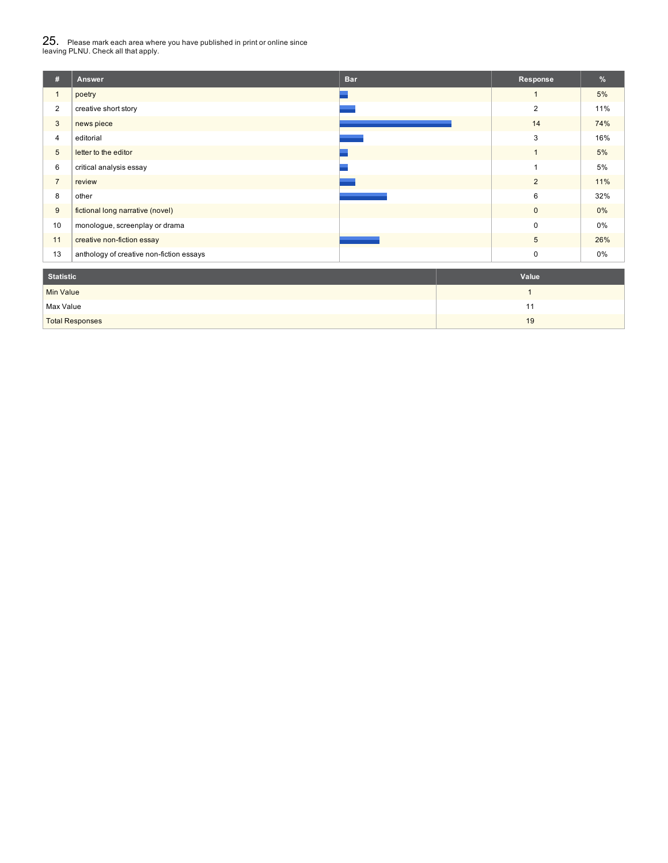# 25. Please mark each area where you have published in print or online since leaving PLNU. Check all that apply.

| #                | Answer                                   | <b>Bar</b> | Response       | $\%$  |  |  |
|------------------|------------------------------------------|------------|----------------|-------|--|--|
| $\mathbf{1}$     | poetry                                   |            | $\mathbf{1}$   | 5%    |  |  |
| $\overline{2}$   | creative short story                     |            | $\overline{2}$ | 11%   |  |  |
| 3                | news piece                               |            | 14             | 74%   |  |  |
| $\overline{4}$   | editorial                                |            | 3              | 16%   |  |  |
| $5\phantom{.0}$  | letter to the editor                     |            | $\mathbf{1}$   | 5%    |  |  |
| 6                | critical analysis essay                  |            | ٠              | 5%    |  |  |
| $\overline{7}$   | review                                   |            | $\overline{2}$ | 11%   |  |  |
| 8                | other                                    |            | 6              | 32%   |  |  |
| 9                | fictional long narrative (novel)         |            | $\mathbf 0$    | $0\%$ |  |  |
| 10               | monologue, screenplay or drama           |            | $\Omega$       | $0\%$ |  |  |
| 11               | creative non-fiction essay               |            | 5              | 26%   |  |  |
| 13               | anthology of creative non-fiction essays |            | 0              | 0%    |  |  |
| <b>Statistic</b> |                                          |            | Value          |       |  |  |
| <b>Min Value</b> |                                          |            | $\mathbf{1}$   |       |  |  |
| Max Value        |                                          |            | 11             |       |  |  |
|                  | <b>Total Responses</b>                   |            | 19             |       |  |  |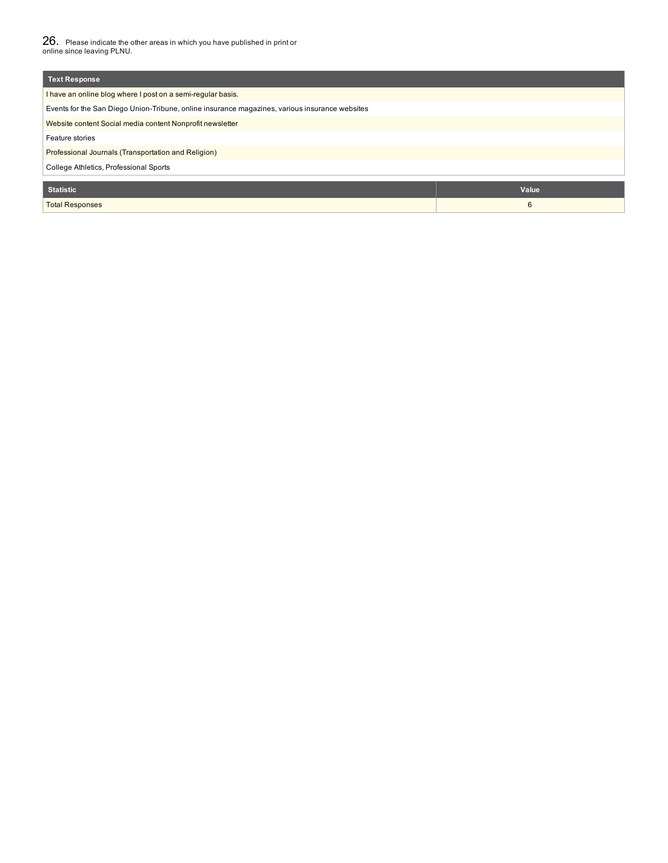26. Please indicate the other areas in which you have published in print or online since leaving PLNU.

| Text Response                                                                                  |       |  |  |  |  |  |
|------------------------------------------------------------------------------------------------|-------|--|--|--|--|--|
| I have an online blog where I post on a semi-regular basis.                                    |       |  |  |  |  |  |
| Events for the San Diego Union-Tribune, online insurance magazines, various insurance websites |       |  |  |  |  |  |
| Website content Social media content Nonprofit newsletter                                      |       |  |  |  |  |  |
| Feature stories                                                                                |       |  |  |  |  |  |
| Professional Journals (Transportation and Religion)                                            |       |  |  |  |  |  |
| College Athletics, Professional Sports                                                         |       |  |  |  |  |  |
|                                                                                                |       |  |  |  |  |  |
| <b>Statistic</b>                                                                               | Value |  |  |  |  |  |
| <b>Total Responses</b>                                                                         | 6     |  |  |  |  |  |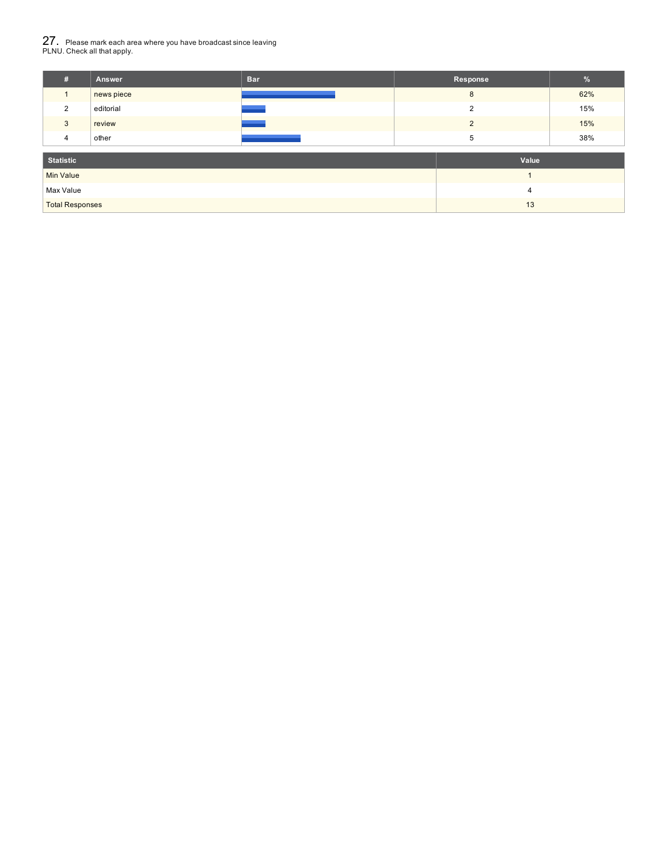# 27. Please mark each area where you have broadcast since leaving PLNU. Check all that apply.

| #                      | Answer     | <b>Bar</b> |                | Response       | $\%$ |  |
|------------------------|------------|------------|----------------|----------------|------|--|
|                        | news piece |            |                | 62%            |      |  |
| 2                      | editorial  |            |                | $\overline{2}$ | 15%  |  |
| 3                      | review     |            |                | 2              | 15%  |  |
| 4                      | other      |            |                | 5              | 38%  |  |
| <b>Statistic</b>       |            |            | Value          |                |      |  |
| Min Value              |            |            |                |                |      |  |
| Max Value              |            |            | $\overline{4}$ |                |      |  |
| <b>Total Responses</b> |            | 13         |                |                |      |  |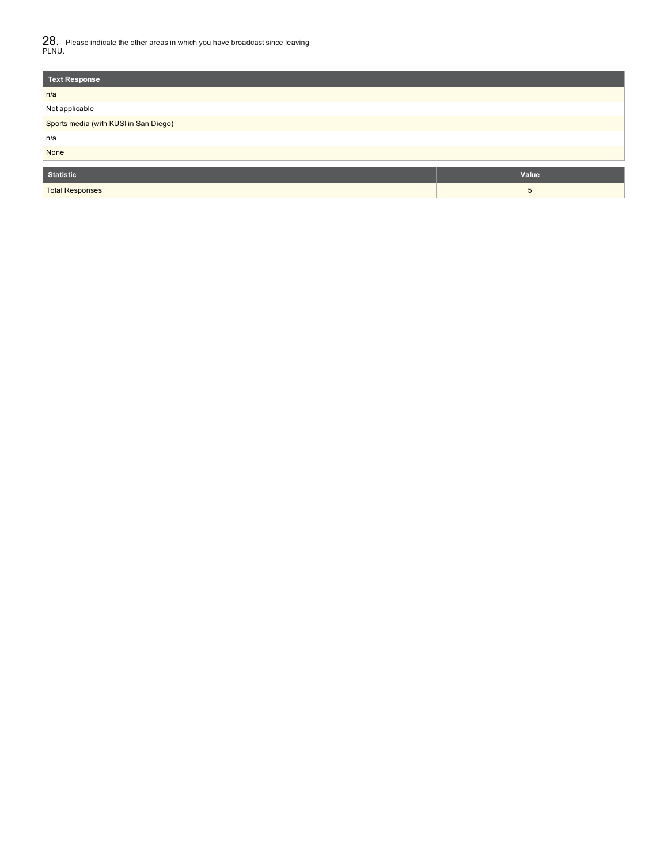28. Please indicate the other areas in which you have broadcast since leaving PLNU.

| <b>Text Response</b>                  |       |  |  |  |  |
|---------------------------------------|-------|--|--|--|--|
| n/a                                   |       |  |  |  |  |
| Not applicable                        |       |  |  |  |  |
| Sports media (with KUSI in San Diego) |       |  |  |  |  |
| n/a                                   |       |  |  |  |  |
| None                                  |       |  |  |  |  |
| <b>Statistic</b>                      |       |  |  |  |  |
|                                       | Value |  |  |  |  |
| <b>Total Responses</b>                | 5     |  |  |  |  |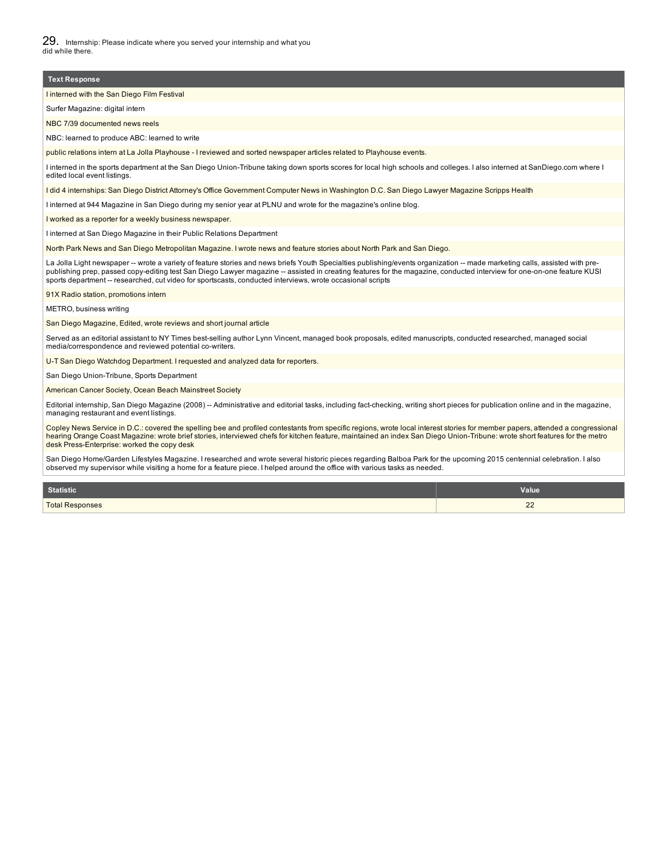# I interned with the San Diego Film Festival **Text Response**

Surfer Magazine: digital intern

NBC 7/39 documented news reels

NBC: learned to produce ABC: learned to write

public relations intern at La Jolla Playhouse - I reviewed and sorted newspaper articles related to Playhouse events.

I interned in the sports department at the San Diego Union-Tribune taking down sports scores for local high schools and colleges. I also interned at SanDiego.com where I edited local event listings.

I did 4 internships: San Diego District Attorney's Office Government Computer News in Washington D.C. San Diego Lawyer Magazine Scripps Health

I interned at 944 Magazine in San Diego during my senior year at PLNU and wrote for the magazine's online blog.

I worked as a reporter for a weekly business newspaper.

I interned at San Diego Magazine in their Public Relations Department

North Park News and San Diego Metropolitan Magazine. I wrote news and feature stories about North Park and San Diego.

La Jolla Light newspaper -- wrote a variety of feature stories and news briefs Youth Specialties publishing/events organization -- made marketing calls, assisted with pre-<br>publishing prep, passed copy-editing test San Dieg sports department -- researched, cut video for sportscasts, conducted interviews, wrote occasional scripts

91X Radio station, promotions intern

#### METRO, business writing

San Diego Magazine, Edited, wrote reviews and short journal article

Served as an editorial assistant to NY Times best-selling author Lynn Vincent, managed book proposals, edited manuscripts, conducted researched, managed social media/correspondence and reviewed potential co-writers.

U-T San Diego Watchdog Department. I requested and analyzed data for reporters.

San Diego Union-Tribune, Sports Department

American Cancer Society, Ocean Beach Mainstreet Society

Editorial internship, San Diego Magazine (2008) -- Administrative and editorial tasks, including fact-checking, writing short pieces for publication online and in the magazine, managing restaurant and event listings.

Copley News Service in D.C.: covered the spelling bee and profiled contestants from specific regions, wrote local interest stories for member papers, attended a congressional hearing Orange Coast Magazine: wrote brief stories, interviewed chefs for kitchen feature, maintained an index San Diego Union-Tribune: wrote short features for the metro desk Press-Enterprise: worked the copy desk

San Diego Home/Garden Lifestyles Magazine. I researched and wrote several historic pieces regarding Balboa Park for the upcoming 2015 centennial celebration. I also observed my supervisor while visiting a home for a feature piece. I helped around the office with various tasks as needed.

| <b>Statistic</b>       | <b>Value</b>     |
|------------------------|------------------|
| <b>Total Responses</b> | $\sim$<br>$\sim$ |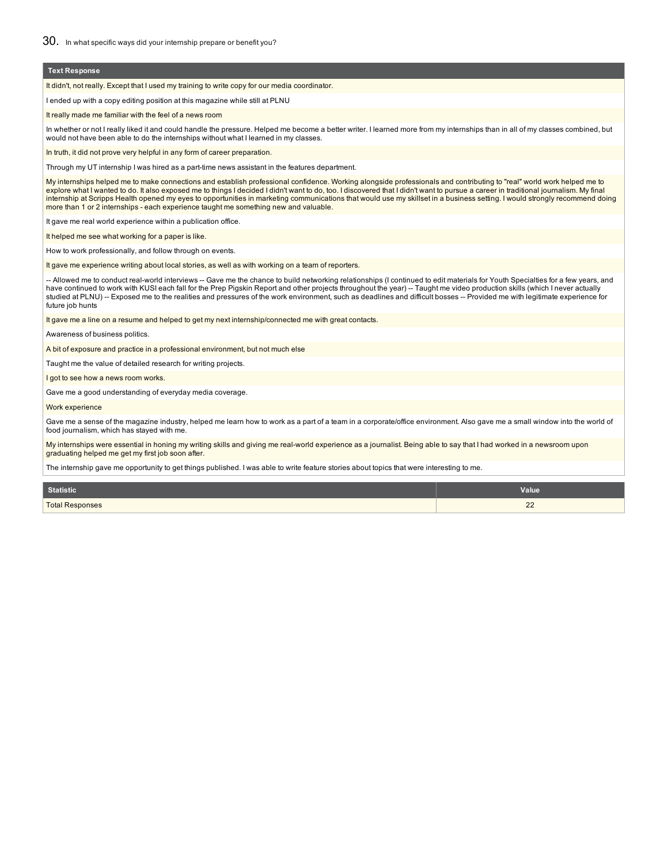#### **Text Response**

It didn't, not really. Except that I used my training to write copy for our media coordinator.

I ended up with a copy editing position at this magazine while still at PLNU

It really made me familiar with the feel of a news room

In whether or not I really liked it and could handle the pressure. Helped me become a better writer. I learned more from my internships than in all of my classes combined, but would not have been able to do the internships without what I learned in my classes.

In truth, it did not prove very helpful in any form of career preparation.

Through my UT internship I was hired as a part-time news assistant in the features department.

My internships helped me to make connections and establish professional confidence. Working alongside professionals and contributing to "real" world work helped me to<br>explore what I wanted to do. It also exposed me to thin internship at Scripps Health opened my eyes to opportunities in marketing communications that would use my skillset in a business setting. I would strongly recommend doing more than 1 or 2 internships - each experience taught me something new and valuable.

It gave me real world experience within a publication office.

It helped me see what working for a paper is like.

How to work professionally, and follow through on events.

It gave me experience writing about local stories, as well as with working on a team of reporters.

-- Allowed me to conduct real-world interviews -- Gave me the chance to build networking relationships (I continued to edit materials for Youth Specialties for a few years, and have continued to work with KUSI each fall for the Prep Pigskin Report and other projects throughout the year) -- Taught me video production skills (which I never actually<br>studied at PLNU) -- Exposed me to the realities an future job hunts

It gave me a line on a resume and helped to get my next internship/connected me with great contacts.

Awareness of business politics.

A bit of exposure and practice in a professional environment, but not much else

Taught me the value of detailed research for writing projects.

I got to see how a news room works.

Gave me a good understanding of everyday media coverage.

#### Work experience

Gave me a sense of the magazine industry, helped me learn how to work as a part of a team in a corporate/office environment. Also gave me a small window into the world of food journalism, which has stayed with me.

My internships were essential in honing my writing skills and giving me real-world experience as a journalist. Being able to say that I had worked in a newsroom upon graduating helped me get my first job soon after.

The internship gave me opportunity to get things published. I was able to write feature stories about topics that were interesting to me.

| <b>Statistic</b>       | <b>Value</b>         |
|------------------------|----------------------|
| <b>Total Responses</b> | $\sim$<br>$\epsilon$ |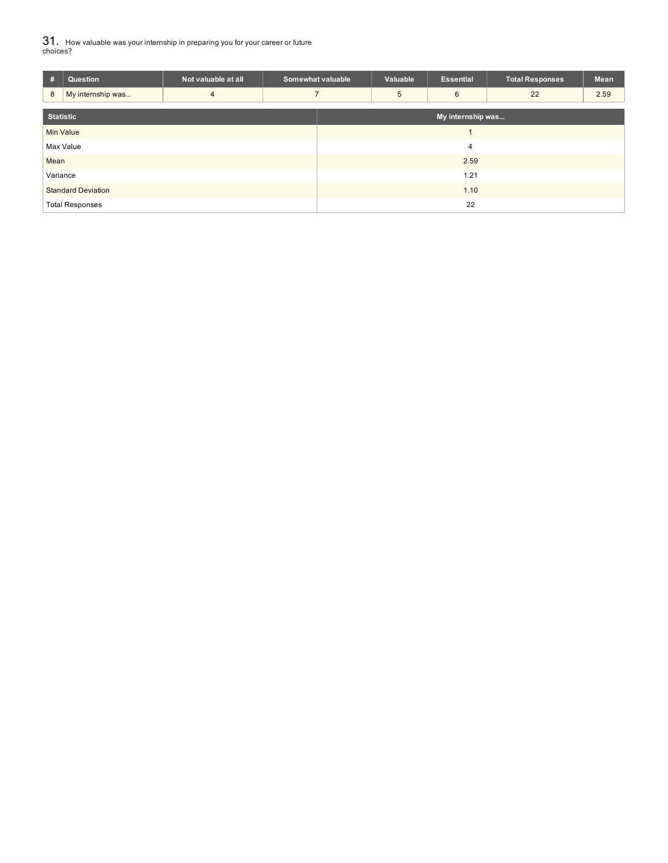31. How valuable was your internship in preparing you for your career or future choices?

| #                         | Question               | Not valuable at all | Somewhat valuable |                   | Valuable | <b>Essential</b> | <b>Total Responses</b> | Mean |
|---------------------------|------------------------|---------------------|-------------------|-------------------|----------|------------------|------------------------|------|
| 8                         | My internship was      | 4                   |                   |                   | 5        | 6                | 22                     | 2.59 |
| <b>Statistic</b>          |                        |                     |                   | My internship was |          |                  |                        |      |
|                           | <b>Min Value</b>       |                     |                   |                   |          |                  |                        |      |
|                           | Max Value              |                     |                   | $\overline{4}$    |          |                  |                        |      |
| Mean                      |                        |                     | 2.59              |                   |          |                  |                        |      |
| Variance                  |                        |                     | 1.21              |                   |          |                  |                        |      |
| <b>Standard Deviation</b> |                        |                     | 1.10              |                   |          |                  |                        |      |
|                           | <b>Total Responses</b> |                     |                   | 22                |          |                  |                        |      |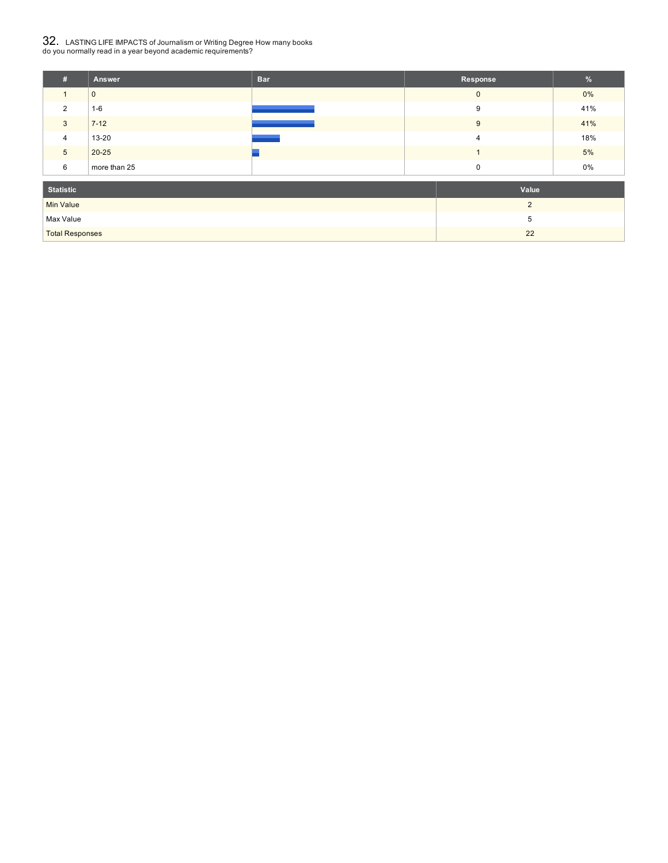# $32_\cdot$  LASTING LIFE IMPACTS of Journalism or Writing Degree How many books<br>do you normally read in a year beyond academic requirements?

| #                                  | <b>Answer</b> | <b>Bar</b> | Response       | $\frac{9}{6}$ |
|------------------------------------|---------------|------------|----------------|---------------|
|                                    | $\mathbf{0}$  |            | $\mathbf{0}$   | $0\%$         |
| 2                                  | $1 - 6$       |            | 9              | 41%           |
| $\mathbf{3}$                       | $7 - 12$      |            | 9              | 41%           |
| $\overline{4}$                     | 13-20         |            | $\overline{4}$ | 18%           |
| $5\overline{)}$                    | $20 - 25$     |            |                | 5%            |
| 6                                  | more than 25  |            | $\mathbf 0$    | 0%            |
| <b>Statistic</b>                   |               | Value      |                |               |
| <b>Min Value</b><br>$\overline{2}$ |               |            |                |               |
| Max Value                          |               | 5          |                |               |

Total Responses 22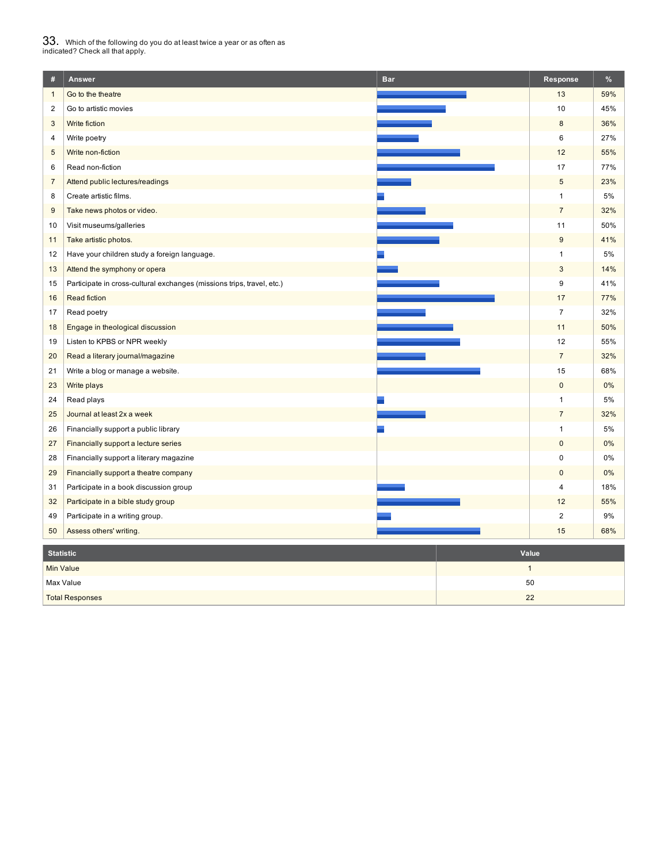# $33_\cdot$  Which of the following do you do at least twice a year or as often as<br>indicated? Check all that apply.

| $\#$                             | Answer                                                                 | <b>Bar</b> | Response       | $\%$  |
|----------------------------------|------------------------------------------------------------------------|------------|----------------|-------|
| $\mathbf{1}$                     | Go to the theatre                                                      |            | 13             | 59%   |
| $\overline{2}$                   | Go to artistic movies                                                  |            | 10             | 45%   |
| $\sqrt{3}$                       | Write fiction                                                          |            | $\bf 8$        | 36%   |
| $\overline{4}$                   | Write poetry                                                           |            | 6              | 27%   |
| 5                                | Write non-fiction                                                      |            | 12             | 55%   |
| 6                                | Read non-fiction                                                       |            | 17             | 77%   |
| $\overline{7}$                   | Attend public lectures/readings                                        |            | $\overline{5}$ | 23%   |
| 8                                | Create artistic films.                                                 |            | $\mathbf{1}$   | 5%    |
| 9                                | Take news photos or video.                                             |            | $\overline{7}$ | 32%   |
| 10                               | Visit museums/galleries                                                |            | 11             | 50%   |
| 11                               | Take artistic photos.                                                  |            | $9\,$          | 41%   |
| 12                               | Have your children study a foreign language.                           |            | $\mathbf{1}$   | 5%    |
| 13                               | Attend the symphony or opera                                           |            | $\mathsf 3$    | 14%   |
| 15                               | Participate in cross-cultural exchanges (missions trips, travel, etc.) |            | 9              | 41%   |
| 16                               | <b>Read fiction</b>                                                    |            | 17             | 77%   |
| 17                               | Read poetry                                                            |            | $\overline{7}$ | 32%   |
| 18                               | Engage in theological discussion                                       |            | 11             | 50%   |
| 19                               | Listen to KPBS or NPR weekly                                           |            | 12             | 55%   |
| 20                               | Read a literary journal/magazine                                       |            | $\overline{7}$ | 32%   |
| 21                               | Write a blog or manage a website.                                      |            | 15             | 68%   |
| 23                               | Write plays                                                            |            | $\mathbf 0$    | 0%    |
| 24                               | Read plays                                                             |            | $\mathbf{1}$   | 5%    |
| 25                               | Journal at least 2x a week                                             |            | $\overline{7}$ | 32%   |
| 26                               | Financially support a public library                                   |            | $\mathbf{1}$   | 5%    |
| 27                               | Financially support a lecture series                                   |            | $\pmb{0}$      | $0\%$ |
| 28                               | Financially support a literary magazine                                |            | 0              | $0\%$ |
| 29                               | Financially support a theatre company                                  |            | $\pmb{0}$      | $0\%$ |
| 31                               | Participate in a book discussion group                                 |            | 4              | 18%   |
| 32                               | Participate in a bible study group                                     |            | 12             | 55%   |
| 49                               | Participate in a writing group.                                        |            | $\overline{2}$ | 9%    |
| 50                               | Assess others' writing.                                                |            | 15             | 68%   |
| <b>Statistic</b><br>Value        |                                                                        |            |                |       |
| $\mathbf{1}$<br><b>Min Value</b> |                                                                        |            |                |       |
| 50<br>Max Value                  |                                                                        |            |                |       |
|                                  | <b>Total Responses</b>                                                 | 22         |                |       |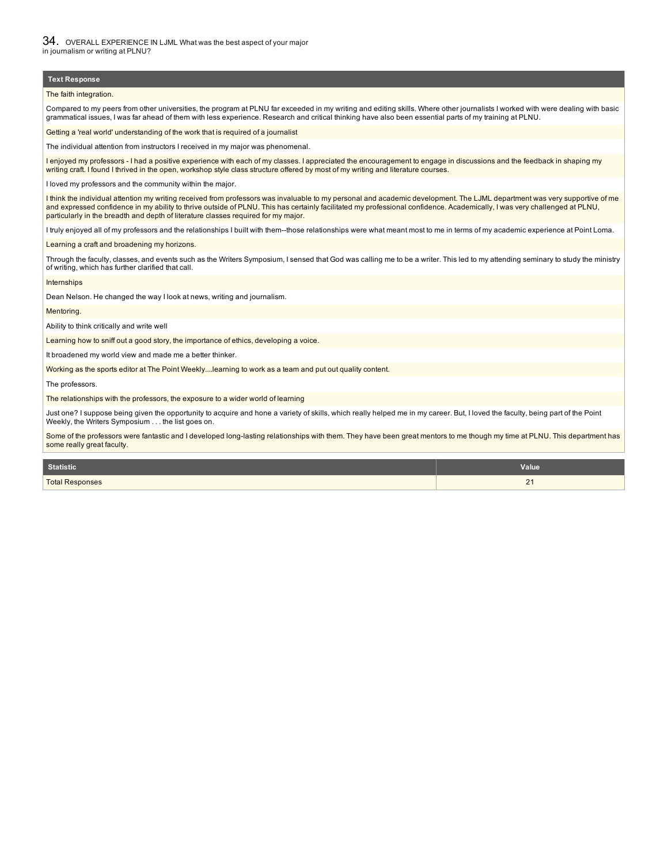### **Text Response**

The faith integration.

Compared to my peers from other universities, the program at PLNU far exceeded in my writing and editing skills. Where other journalists I worked with were dealing with basic grammatical issues, I was far ahead of them with less experience. Research and critical thinking have also been essential parts of my training at PLNU.

#### Getting a 'real world' understanding of the work that is required of a journalist

The individual attention from instructors I received in my major was phenomenal.

I enjoyed my professors - I had a positive experience with each of my classes. I appreciated the encouragement to engage in discussions and the feedback in shaping my writing craft. I found I thrived in the open, workshop style class structure offered by most of my writing and literature courses.

I loved my professors and the community within the major.

I think the individual attention my writing received from professors was invaluable to my personal and academic development. The LJML department was very supportive of me and expressed confidence in my ability to thrive outside of PLNU. This has certainly facilitated my professional confidence. Academically, I was very challenged at PLNU, particularly in the breadth and depth of literature classes required for my major.

I truly enjoyed all of my professors and the relationships I built with them--those relationships were what meant most to me in terms of my academic experience at Point Loma.

Learning a craft and broadening my horizons.

Through the faculty, classes, and events such as the Writers Symposium, I sensed that God was calling me to be a writer. This led to my attending seminary to study the ministry of writing, which has further clarified that call.

Internships

Dean Nelson. He changed the way I look at news, writing and journalism.

#### Mentoring.

Ability to think critically and write well

Learning how to sniff out a good story, the importance of ethics, developing a voice.

It broadened my world view and made me a better thinker.

Working as the sports editor at The Point Weekly....learning to work as a team and put out quality content.

The professors.

The relationships with the professors, the exposure to a wider world of learning

Just one? I suppose being given the opportunity to acquire and hone a variety of skills, which really helped me in my career. But, I loved the faculty, being part of the Point Weekly, the Writers Symposium .. . the list goes on.

Some of the professors were fantastic and I developed long-lasting relationships with them. They have been great mentors to me though my time at PLNU. This department has some really great faculty.

| Statistic              | <b>Value</b>   |
|------------------------|----------------|
| <b>Total Responses</b> | c.<br><u>_</u> |